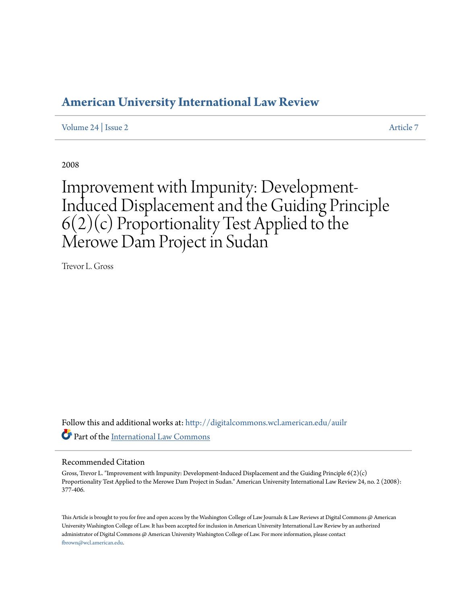# **[American University International Law Review](http://digitalcommons.wcl.american.edu/auilr?utm_source=digitalcommons.wcl.american.edu%2Fauilr%2Fvol24%2Fiss2%2F7&utm_medium=PDF&utm_campaign=PDFCoverPages)**

[Volume 24](http://digitalcommons.wcl.american.edu/auilr/vol24?utm_source=digitalcommons.wcl.american.edu%2Fauilr%2Fvol24%2Fiss2%2F7&utm_medium=PDF&utm_campaign=PDFCoverPages) | [Issue 2](http://digitalcommons.wcl.american.edu/auilr/vol24/iss2?utm_source=digitalcommons.wcl.american.edu%2Fauilr%2Fvol24%2Fiss2%2F7&utm_medium=PDF&utm_campaign=PDFCoverPages) [Article 7](http://digitalcommons.wcl.american.edu/auilr/vol24/iss2/7?utm_source=digitalcommons.wcl.american.edu%2Fauilr%2Fvol24%2Fiss2%2F7&utm_medium=PDF&utm_campaign=PDFCoverPages)

2008

# Improvement with Impunity: Development-Induced Displacement and the Guiding Principle 6(2)(c) Proportionality Test Applied to the Merowe Dam Project in Sudan

Trevor L. Gross

Follow this and additional works at: [http://digitalcommons.wcl.american.edu/auilr](http://digitalcommons.wcl.american.edu/auilr?utm_source=digitalcommons.wcl.american.edu%2Fauilr%2Fvol24%2Fiss2%2F7&utm_medium=PDF&utm_campaign=PDFCoverPages) Part of the [International Law Commons](http://network.bepress.com/hgg/discipline/609?utm_source=digitalcommons.wcl.american.edu%2Fauilr%2Fvol24%2Fiss2%2F7&utm_medium=PDF&utm_campaign=PDFCoverPages)

#### Recommended Citation

Gross, Trevor L. "Improvement with Impunity: Development-Induced Displacement and the Guiding Principle 6(2)(c) Proportionality Test Applied to the Merowe Dam Project in Sudan." American University International Law Review 24, no. 2 (2008): 377-406.

This Article is brought to you for free and open access by the Washington College of Law Journals & Law Reviews at Digital Commons @ American University Washington College of Law. It has been accepted for inclusion in American University International Law Review by an authorized administrator of Digital Commons @ American University Washington College of Law. For more information, please contact [fbrown@wcl.american.edu](mailto:fbrown@wcl.american.edu).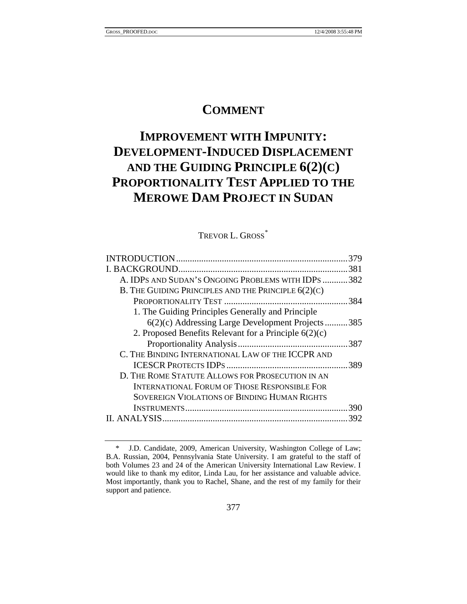# **COMMENT**

# **IMPROVEMENT WITH IMPUNITY: DEVELOPMENT-INDUCED DISPLACEMENT AND THE GUIDING PRINCIPLE 6(2)(C) PROPORTIONALITY TEST APPLIED TO THE MEROWE DAM PROJECT IN SUDAN**

TREVOR L. GROSS<sup>[\\*](#page-1-0)</sup>

|                                                         | 379  |
|---------------------------------------------------------|------|
|                                                         | 381  |
| A. IDPS AND SUDAN'S ONGOING PROBLEMS WITH IDPS 382      |      |
| B. THE GUIDING PRINCIPLES AND THE PRINCIPLE $6(2)(C)$   |      |
|                                                         | 384  |
| 1. The Guiding Principles Generally and Principle       |      |
| 6(2)(c) Addressing Large Development Projects           | .385 |
| 2. Proposed Benefits Relevant for a Principle $6(2)(c)$ |      |
|                                                         | 387  |
| C. THE BINDING INTERNATIONAL LAW OF THE ICCPR AND       |      |
|                                                         | 389  |
| D. THE ROME STATUTE ALLOWS FOR PROSECUTION IN AN        |      |
| <b>INTERNATIONAL FORUM OF THOSE RESPONSIBLE FOR</b>     |      |
| <b>SOVEREIGN VIOLATIONS OF BINDING HUMAN RIGHTS</b>     |      |
|                                                         | 390  |
| II. ANALYSIS.                                           | 392  |
|                                                         |      |

<span id="page-1-0"></span> <sup>\*</sup> J.D. Candidate, 2009, American University, Washington College of Law; B.A. Russian, 2004, Pennsylvania State University. I am grateful to the staff of both Volumes 23 and 24 of the American University International Law Review. I would like to thank my editor, Linda Lau, for her assistance and valuable advice. Most importantly, thank you to Rachel, Shane, and the rest of my family for their support and patience.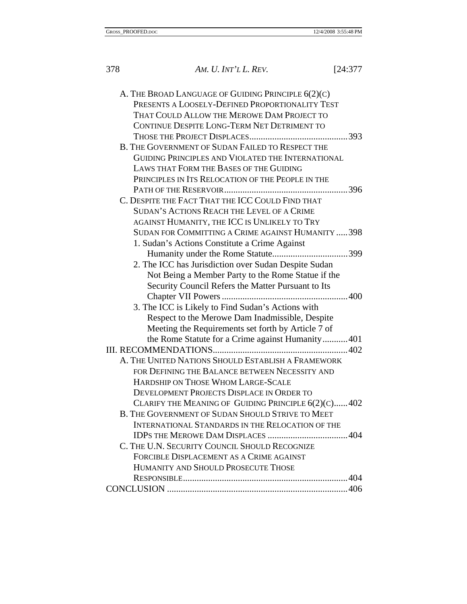| 378 | AM. U. INT'L L. REV.                                                                                                                                                                               | [24:377] |
|-----|----------------------------------------------------------------------------------------------------------------------------------------------------------------------------------------------------|----------|
|     | A. THE BROAD LANGUAGE OF GUIDING PRINCIPLE 6(2)(C)<br>PRESENTS A LOOSELY-DEFINED PROPORTIONALITY TEST<br>THAT COULD ALLOW THE MEROWE DAM PROJECT TO<br>CONTINUE DESPITE LONG-TERM NET DETRIMENT TO |          |
|     |                                                                                                                                                                                                    |          |
|     | B. THE GOVERNMENT OF SUDAN FAILED TO RESPECT THE                                                                                                                                                   |          |
|     | GUIDING PRINCIPLES AND VIOLATED THE INTERNATIONAL<br>LAWS THAT FORM THE BASES OF THE GUIDING                                                                                                       |          |
|     |                                                                                                                                                                                                    |          |
|     | PRINCIPLES IN ITS RELOCATION OF THE PEOPLE IN THE                                                                                                                                                  |          |
|     | C. DESPITE THE FACT THAT THE ICC COULD FIND THAT                                                                                                                                                   |          |
|     | SUDAN'S ACTIONS REACH THE LEVEL OF A CRIME                                                                                                                                                         |          |
|     | AGAINST HUMANITY, THE ICC IS UNLIKELY TO TRY                                                                                                                                                       |          |
|     | SUDAN FOR COMMITTING A CRIME AGAINST HUMANITY  398                                                                                                                                                 |          |
|     | 1. Sudan's Actions Constitute a Crime Against                                                                                                                                                      |          |
|     |                                                                                                                                                                                                    |          |
|     | 2. The ICC has Jurisdiction over Sudan Despite Sudan                                                                                                                                               |          |
|     | Not Being a Member Party to the Rome Statue if the                                                                                                                                                 |          |
|     | Security Council Refers the Matter Pursuant to Its                                                                                                                                                 |          |
|     |                                                                                                                                                                                                    |          |
|     | 3. The ICC is Likely to Find Sudan's Actions with                                                                                                                                                  |          |
|     | Respect to the Merowe Dam Inadmissible, Despite                                                                                                                                                    |          |
|     | Meeting the Requirements set forth by Article 7 of                                                                                                                                                 |          |
|     | the Rome Statute for a Crime against Humanity 401                                                                                                                                                  |          |
|     |                                                                                                                                                                                                    |          |
|     | A. THE UNITED NATIONS SHOULD ESTABLISH A FRAMEWORK                                                                                                                                                 |          |
|     | FOR DEFINING THE BALANCE BETWEEN NECESSITY AND                                                                                                                                                     |          |
|     | HARDSHIP ON THOSE WHOM LARGE-SCALE                                                                                                                                                                 |          |
|     | DEVELOPMENT PROJECTS DISPLACE IN ORDER TO                                                                                                                                                          |          |
|     | CLARIFY THE MEANING OF GUIDING PRINCIPLE 6(2)(C) 402                                                                                                                                               |          |
|     | B. THE GOVERNMENT OF SUDAN SHOULD STRIVE TO MEET                                                                                                                                                   |          |
|     | INTERNATIONAL STANDARDS IN THE RELOCATION OF THE                                                                                                                                                   |          |
|     |                                                                                                                                                                                                    |          |
|     | C. THE U.N. SECURITY COUNCIL SHOULD RECOGNIZE                                                                                                                                                      |          |
|     | FORCIBLE DISPLACEMENT AS A CRIME AGAINST                                                                                                                                                           |          |
|     | HUMANITY AND SHOULD PROSECUTE THOSE                                                                                                                                                                |          |
|     |                                                                                                                                                                                                    |          |
|     |                                                                                                                                                                                                    |          |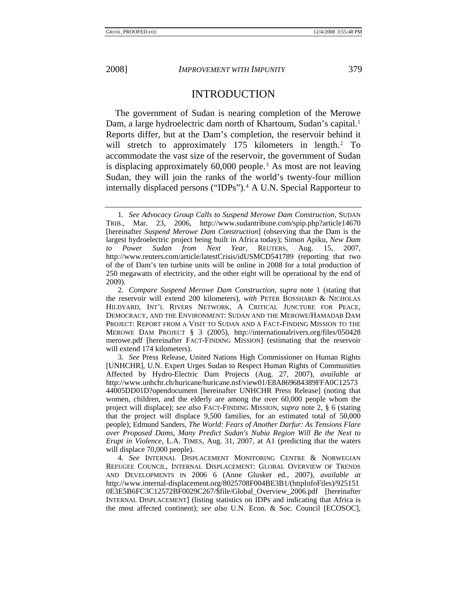<span id="page-3-0"></span>

#### INTRODUCTION

The government of Sudan is nearing completion of the Merowe Dam, a large hydroelectric dam north of Khartoum, Sudan's capital.<sup>[1](#page-3-1)</sup> Reports differ, but at the Dam's completion, the reservoir behind it will stretch to approximately 175 kilometers in length.<sup>[2](#page-3-2)</sup> To accommodate the vast size of the reservoir, the government of Sudan is displacing approximately 60,000 people.<sup>[3](#page-3-3)</sup> As most are not leaving Sudan, they will join the ranks of the world's twenty-four million internally displaced persons ("IDPs").<sup>[4](#page-3-4)</sup> A U.N. Special Rapporteur to

<span id="page-3-1"></span><sup>1</sup>*. See Advocacy Group Calls to Suspend Merowe Dam Construction*, SUDAN TRIB., Mar. 23, 2006, http://www.sudantribune.com/spip.php?article14670 [hereinafter *Suspend Merowe Dam Construction*] (observing that the Dam is the largest hydroelectric project being built in Africa today); Simon Apiku, *New Dam to Power Sudan from Next Year*, REUTERS, Aug. 15, 2007, http://www.reuters.com/article/latestCrisis/idUSMCD541789 (reporting that two of the of Dam's ten turbine units will be online in 2008 for a total production of 250 megawatts of electricity, and the other eight will be operational by the end of 2009).

<span id="page-3-2"></span><sup>2</sup>*. Compare Suspend Merowe Dam Construction*, *supra* note 1 (stating that the reservoir will extend 200 kilometers), *with* PETER BOSSHARD & NICHOLAS HILDYARD, INT'L RIVERS NETWORK, A CRITICAL JUNCTURE FOR PEACE, DEMOCRACY, AND THE ENVIRONMENT: SUDAN AND THE MEROWE/HAMADAB DAM PROJECT: REPORT FROM A VISIT TO SUDAN AND A FACT-FINDING MISSION TO THE MEROWE DAM PROJECT § 3 (2005), http://internationalrivers.org/files/050428 merowe.pdf [hereinafter FACT-FINDING MISSION] (estimating that the reservoir will extend 174 kilometers).

<span id="page-3-3"></span><sup>3</sup>*. See* Press Release, United Nations High Commissioner on Human Rights [UNHCHR], U.N. Expert Urges Sudan to Respect Human Rights of Communities Affected by Hydro-Electric Dam Projects (Aug. 27, 2007), *available at* http://www.unhchr.ch/huricane/huricane.nsf/view01/E8A869684389FFA0C12573 44005DD01D?opendocument [hereinafter UNHCHR Press Release] (noting that women, children, and the elderly are among the over 60,000 people whom the project will displace); *see also* FACT-FINDING MISSION, *supra* note 2, § 6 (stating that the project will displace 9,500 families, for an estimated total of 50,000 people); Edmund Sanders, *The World: Fears of Another Darfur: As Tensions Flare over Proposed Dams, Many Predict Sudan's Nubia Region Will Be the Next to Erupt in Violence*, L.A. TIMES, Aug. 31, 2007, at A1 (predicting that the waters will displace 70,000 people).

<span id="page-3-4"></span><sup>4</sup>*. See* INTERNAL DISPLACEMENT MONITORING CENTRE & NORWEGIAN REFUGEE COUNCIL, INTERNAL DISPLACEMENT: GLOBAL OVERVIEW OF TRENDS AND DEVELOPMENTS IN 2006 6 (Anne Glusker ed., 2007), *available at* http://www.internal-displacement.org/8025708F004BE3B1/(httpInfoFiles)/925151 0E3E5B6FC3C12572BF0029C267/\$file/Global\_Overview\_2006.pdf [hereinafter INTERNAL DISPLACEMENT] (listing statistics on IDPs and indicating that Africa is the most affected continent); *see also* U.N. Econ. & Soc. Council [ECOSOC],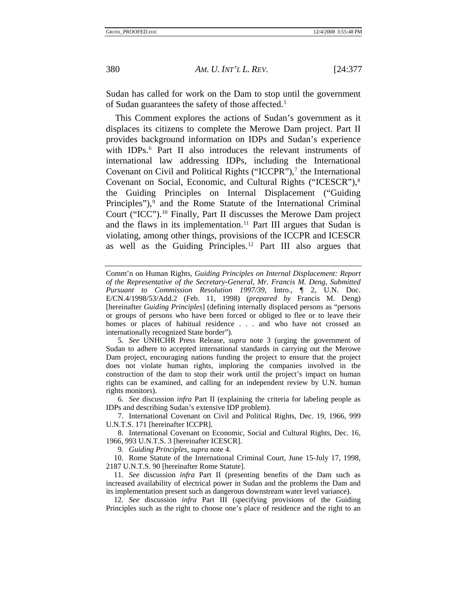Sudan has called for work on the Dam to stop until the government of Sudan guarantees the safety of those affected.[5](#page-4-0)

This Comment explores the actions of Sudan's government as it displaces its citizens to complete the Merowe Dam project. Part II provides background information on IDPs and Sudan's experience with IDPs.<sup>[6](#page-4-1)</sup> Part II also introduces the relevant instruments of international law addressing IDPs, including the International Covenant on Civil and Political Rights ("ICCPR"),<sup>7</sup> the International Covenant on Social, Economic, and Cultural Rights ("ICESCR"),[8](#page-4-3) the Guiding Principles on Internal Displacement ("Guiding Principles"),<sup>[9](#page-4-4)</sup> and the Rome Statute of the International Criminal Court ("ICC").[10](#page-4-5) Finally, Part II discusses the Merowe Dam project and the flaws in its implementation.<sup>[11](#page-4-6)</sup> Part III argues that Sudan is violating, among other things, provisions of the ICCPR and ICESCR as well as the Guiding Principles.[12](#page-4-7) Part III also argues that

<span id="page-4-0"></span>5*. See* UNHCHR Press Release, *supra* note 3 (urging the government of Sudan to adhere to accepted international standards in carrying out the Merowe Dam project, encouraging nations funding the project to ensure that the project does not violate human rights, imploring the companies involved in the construction of the dam to stop their work until the project's impact on human rights can be examined, and calling for an independent review by U.N. human rights monitors).

<span id="page-4-1"></span>6*. See* discussion *infra* Part II (explaining the criteria for labeling people as IDPs and describing Sudan's extensive IDP problem).

<span id="page-4-2"></span> 7. International Covenant on Civil and Political Rights, Dec. 19, 1966, 999 U.N.T.S. 171 [hereinafter ICCPR].

<span id="page-4-3"></span> 8. International Covenant on Economic, Social and Cultural Rights, Dec. 16, 1966, 993 U.N.T.S. 3 [hereinafter ICESCR].

9*. Guiding Principles*, *supra* note 4.

<span id="page-4-5"></span><span id="page-4-4"></span> 10. Rome Statute of the International Criminal Court, June 15-July 17, 1998, 2187 U.N.T.S. 90 [hereinafter Rome Statute].

<span id="page-4-6"></span>11*. See* discussion *infra* Part II (presenting benefits of the Dam such as increased availability of electrical power in Sudan and the problems the Dam and its implementation present such as dangerous downstream water level variance).

<span id="page-4-7"></span>12*. See* discussion *infra* Part III (specifying provisions of the Guiding Principles such as the right to choose one's place of residence and the right to an

Comm'n on Human Rights, *Guiding Principles on Internal Displacement: Report of the Representative of the Secretary-General, Mr. Francis M. Deng, Submitted Pursuant to Commission Resolution 1997/39*, Intro., ¶ 2, U.N. Doc. E/CN.4/1998/53/Add.2 (Feb. 11, 1998) (*prepared by* Francis M. Deng) [hereinafter *Guiding Principles*] (defining internally displaced persons as "persons or groups of persons who have been forced or obliged to flee or to leave their homes or places of habitual residence . . . and who have not crossed an internationally recognized State border").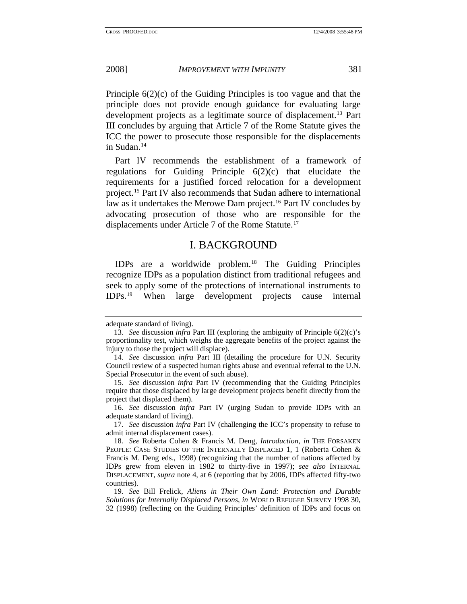<span id="page-5-0"></span>Principle 6(2)(c) of the Guiding Principles is too vague and that the principle does not provide enough guidance for evaluating large development projects as a legitimate source of displacement.<sup>[13](#page-5-1)</sup> Part III concludes by arguing that Article 7 of the Rome Statute gives the ICC the power to prosecute those responsible for the displacements in Sudan.<sup>[14](#page-5-2)</sup>

Part IV recommends the establishment of a framework of regulations for Guiding Principle 6(2)(c) that elucidate the requirements for a justified forced relocation for a development project.[15](#page-5-3) Part IV also recommends that Sudan adhere to international law as it undertakes the Merowe Dam project.<sup>[16](#page-5-4)</sup> Part IV concludes by advocating prosecution of those who are responsible for the displacements under Article 7 of the Rome Statute.<sup>[17](#page-5-5)</sup>

### I. BACKGROUND

IDPs are a worldwide problem.[18](#page-5-6) The Guiding Principles recognize IDPs as a population distinct from traditional refugees and seek to apply some of the protections of international instruments to IDPs.[19](#page-5-7) When large development projects cause internal

<span id="page-5-1"></span>adequate standard of living).

<sup>13</sup>*. See* discussion *infra* Part III (exploring the ambiguity of Principle 6(2)(c)'s proportionality test, which weighs the aggregate benefits of the project against the injury to those the project will displace).

<span id="page-5-2"></span><sup>14</sup>*. See* discussion *infra* Part III (detailing the procedure for U.N. Security Council review of a suspected human rights abuse and eventual referral to the U.N. Special Prosecutor in the event of such abuse).

<span id="page-5-3"></span><sup>15</sup>*. See* discussion *infra* Part IV (recommending that the Guiding Principles require that those displaced by large development projects benefit directly from the project that displaced them).

<span id="page-5-5"></span><span id="page-5-4"></span><sup>16</sup>*. See* discussion *infra* Part IV (urging Sudan to provide IDPs with an adequate standard of living).

<span id="page-5-6"></span><sup>17</sup>*. See* discussion *infra* Part IV (challenging the ICC's propensity to refuse to admit internal displacement cases).

<sup>18</sup>*. See* Roberta Cohen & Francis M. Deng, *Introduction*, *in* THE FORSAKEN PEOPLE: CASE STUDIES OF THE INTERNALLY DISPLACED 1, 1 (Roberta Cohen & Francis M. Deng eds., 1998) (recognizing that the number of nations affected by IDPs grew from eleven in 1982 to thirty-five in 1997); *see also* INTERNAL DISPLACEMENT, *supra* note 4, at 6 (reporting that by 2006, IDPs affected fifty-two countries).

<span id="page-5-7"></span><sup>19</sup>*. See* Bill Frelick, *Aliens in Their Own Land: Protection and Durable Solutions for Internally Displaced Persons*, *in* WORLD REFUGEE SURVEY 1998 30, 32 (1998) (reflecting on the Guiding Principles' definition of IDPs and focus on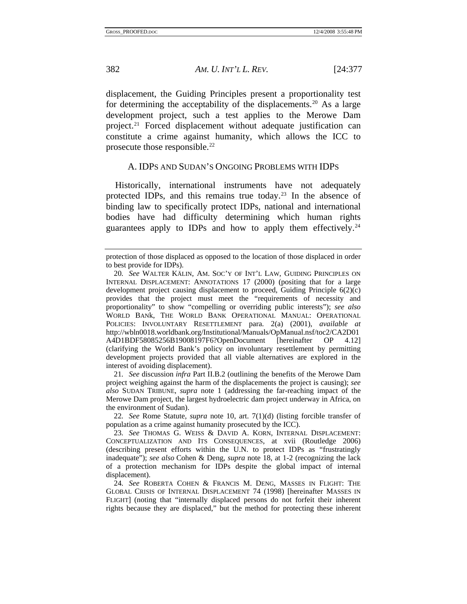<span id="page-6-0"></span>displacement, the Guiding Principles present a proportionality test for determining the acceptability of the displacements.<sup>[20](#page-6-1)</sup> As a large development project, such a test applies to the Merowe Dam project.<sup>[21](#page-6-2)</sup> Forced displacement without adequate justification can constitute a crime against humanity, which allows the ICC to prosecute those responsible.<sup>22</sup>

#### A. IDPS AND SUDAN'S ONGOING PROBLEMS WITH IDPS

Historically, international instruments have not adequately protected IDPs, and this remains true today.[23](#page-6-4) In the absence of binding law to specifically protect IDPs, national and international bodies have had difficulty determining which human rights guarantees apply to IDPs and how to apply them effectively.<sup>24</sup>

<span id="page-6-2"></span>21*. See* discussion *infra* Part II.B.2 (outlining the benefits of the Merowe Dam project weighing against the harm of the displacements the project is causing); *see also* SUDAN TRIBUNE, *supra* note 1 (addressing the far-reaching impact of the Merowe Dam project, the largest hydroelectric dam project underway in Africa, on the environment of Sudan).

<span id="page-6-3"></span>22*. See* Rome Statute, *supra* note 10, art. 7(1)(d) (listing forcible transfer of population as a crime against humanity prosecuted by the ICC).

protection of those displaced as opposed to the location of those displaced in order to best provide for IDPs).

<span id="page-6-1"></span><sup>20</sup>*. See* WALTER KÄLIN, AM. SOC'Y OF INT'L LAW, GUIDING PRINCIPLES ON INTERNAL DISPLACEMENT: ANNOTATIONS 17 (2000) (positing that for a large development project causing displacement to proceed, Guiding Principle 6(2)(c) provides that the project must meet the "requirements of necessity and proportionality" to show "compelling or overriding public interests"); *see also* WORLD BANk, THE WORLD BANK OPERATIONAL MANUAL: OPERATIONAL POLICIES: INVOLUNTARY RESETTLEMENT para. 2(a) (2001), *available at* http://wbln0018.worldbank.org/Institutional/Manuals/OpManual.nsf/toc2/CA2D01 A4D1BDF58085256B19008197F6?OpenDocument [hereinafter OP 4.12] (clarifying the World Bank's policy on involuntary resettlement by permitting development projects provided that all viable alternatives are explored in the interest of avoiding displacement).

<span id="page-6-4"></span><sup>23</sup>*. See* THOMAS G. WEISS & DAVID A. KORN, INTERNAL DISPLACEMENT: CONCEPTUALIZATION AND ITS CONSEQUENCES, at xvii (Routledge 2006) (describing present efforts within the U.N. to protect IDPs as "frustratingly inadequate"); *see also* Cohen & Deng, *supra* note 18, at 1-2 (recognizing the lack of a protection mechanism for IDPs despite the global impact of internal displacement).

<span id="page-6-5"></span><sup>24</sup>*. See* ROBERTA COHEN & FRANCIS M. DENG, MASSES IN FLIGHT: THE GLOBAL CRISIS OF INTERNAL DISPLACEMENT 74 (1998) [hereinafter MASSES IN FLIGHT] (noting that "internally displaced persons do not forfeit their inherent rights because they are displaced," but the method for protecting these inherent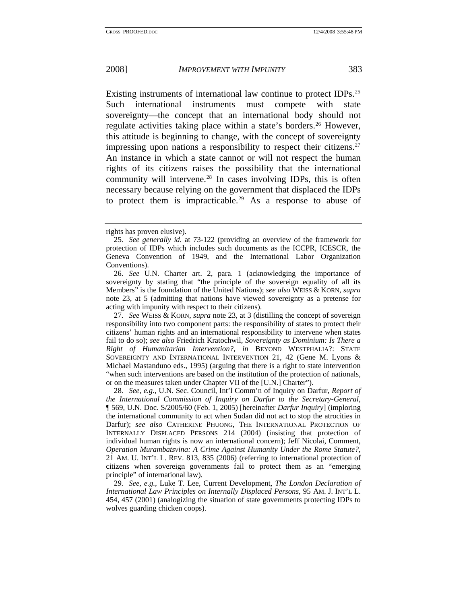Existing instruments of international law continue to protect IDPs.<sup>25</sup> Such international instruments must compete with state sovereignty—the concept that an international body should not regulate activities taking place within a state's borders.<sup>[26](#page-7-1)</sup> However, this attitude is beginning to change, with the concept of sovereignty impressing upon nations a responsibility to respect their citizens.<sup>27</sup> An instance in which a state cannot or will not respect the human rights of its citizens raises the possibility that the international community will intervene.<sup>[28](#page-7-3)</sup> In cases involving IDPs, this is often necessary because relying on the government that displaced the IDPs to protect them is impracticable.[29](#page-7-4) As a response to abuse of

<span id="page-7-2"></span>27*. See* WEISS & KORN, *supra* note 23, at 3 (distilling the concept of sovereign responsibility into two component parts: the responsibility of states to protect their citizens' human rights and an international responsibility to intervene when states fail to do so); *see also* Friedrich Kratochwil, *Sovereignty as Dominium: Is There a Right of Humanitarian Intervention?*, *in* BEYOND WESTPHALIA?: STATE SOVEREIGNTY AND INTERNATIONAL INTERVENTION 21, 42 (Gene M. Lyons & Michael Mastanduno eds., 1995) (arguing that there is a right to state intervention "when such interventions are based on the institution of the protection of nationals, or on the measures taken under Chapter VII of the [U.N.] Charter").

<span id="page-7-3"></span>28*. See, e.g.*, U.N. Sec. Council, Int'l Comm'n of Inquiry on Darfur, *Report of the International Commission of Inquiry on Darfur to the Secretary-General*, ¶ 569, U.N. Doc. S/2005/60 (Feb. 1, 2005) [hereinafter *Darfur Inquiry*] (imploring the international community to act when Sudan did not act to stop the atrocities in Darfur); *see also* CATHERINE PHUONG, THE INTERNATIONAL PROTECTION OF INTERNALLY DISPLACED PERSONS 214 (2004) (insisting that protection of individual human rights is now an international concern); Jeff Nicolai, Comment, *Operation Murambatsvina: A Crime Against Humanity Under the Rome Statute?*, 21 AM. U. INT'L L. REV. 813, 835 (2006) (referring to international protection of citizens when sovereign governments fail to protect them as an "emerging principle" of international law).

<span id="page-7-4"></span>29*. See, e.g.*, Luke T. Lee, Current Development, *The London Declaration of International Law Principles on Internally Displaced Persons*, 95 AM. J. INT'L L. 454, 457 (2001) (analogizing the situation of state governments protecting IDPs to wolves guarding chicken coops).

<span id="page-7-0"></span>rights has proven elusive).

<sup>25</sup>*. See generally id.* at 73-122 (providing an overview of the framework for protection of IDPs which includes such documents as the ICCPR, ICESCR, the Geneva Convention of 1949, and the International Labor Organization Conventions).

<span id="page-7-1"></span><sup>26</sup>*. See* U.N. Charter art. 2, para. 1 (acknowledging the importance of sovereignty by stating that "the principle of the sovereign equality of all its Members" is the foundation of the United Nations); *see also* WEISS & KORN, *supra* note 23, at 5 (admitting that nations have viewed sovereignty as a pretense for acting with impunity with respect to their citizens).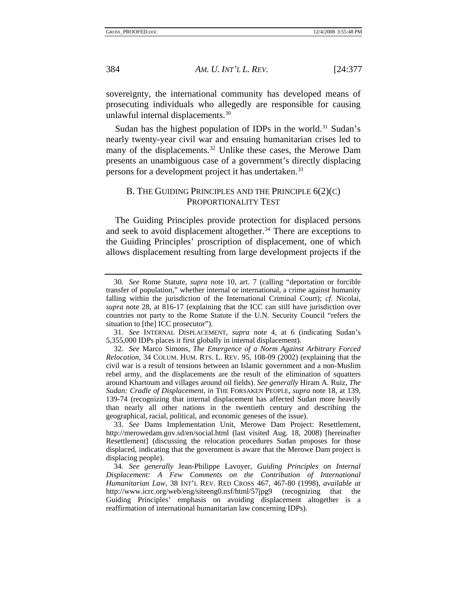sovereignty, the international community has developed means of prosecuting individuals who allegedly are responsible for causing unlawful internal displacements.<sup>[30](#page-8-1)</sup>

Sudan has the highest population of IDPs in the world.<sup>[31](#page-8-2)</sup> Sudan's nearly twenty-year civil war and ensuing humanitarian crises led to many of the displacements.<sup>[32](#page-8-3)</sup> Unlike these cases, the Merowe Dam presents an unambiguous case of a government's directly displacing persons for a development project it has undertaken.<sup>[33](#page-8-4)</sup>

#### B. THE GUIDING PRINCIPLES AND THE PRINCIPLE 6(2)(C) PROPORTIONALITY TEST

The Guiding Principles provide protection for displaced persons and seek to avoid displacement altogether.<sup>[34](#page-8-5)</sup> There are exceptions to the Guiding Principles' proscription of displacement, one of which allows displacement resulting from large development projects if the

<span id="page-8-0"></span>

<span id="page-8-1"></span><sup>30</sup>*. See* Rome Statute, *supra* note 10, art. 7 (calling "deportation or forcible transfer of population," whether internal or international, a crime against humanity falling within the jurisdiction of the International Criminal Court); *cf.* Nicolai, *supra* note 28, at 816-17 (explaining that the ICC can still have jurisdiction over countries not party to the Rome Statute if the U.N. Security Council "refers the situation to [the] ICC prosecutor").

<span id="page-8-2"></span><sup>31</sup>*. See* INTERNAL DISPLACEMENT, *supra* note 4, at 6 (indicating Sudan's 5,355,000 IDPs places it first globally in internal displacement).

<span id="page-8-3"></span><sup>32</sup>*. See* Marco Simons, *The Emergence of a Norm Against Arbitrary Forced Relocation*, 34 COLUM. HUM. RTS. L. REV. 95, 108-09 (2002) (explaining that the civil war is a result of tensions between an Islamic government and a non-Muslim rebel army, and the displacements are the result of the elimination of squatters around Khartoum and villages around oil fields). *See generally* Hiram A. Ruiz, *The Sudan: Cradle of Displacement*, *in* THE FORSAKEN PEOPLE, *supra* note 18, at 139, 139-74 (recognizing that internal displacement has affected Sudan more heavily than nearly all other nations in the twentieth century and describing the geographical, racial, political, and economic geneses of the issue).

<span id="page-8-4"></span><sup>33</sup>*. See* Dams Implementation Unit, Merowe Dam Project: Resettlement, http://merowedam.gov.sd/en/social.html (last visited Aug. 18, 2008) [hereinafter Resettlement] (discussing the relocation procedures Sudan proposes for those displaced, indicating that the government is aware that the Merowe Dam project is displacing people).

<span id="page-8-5"></span><sup>34</sup>*. See generally* Jean-Philippe Lavoyer, *Guiding Principles on Internal Displacement: A Few Comments on the Contribution of International Humanitarian Law*, 38 INT'L REV. RED CROSS 467, 467-80 (1998), *available at* http://www.icrc.org/web/eng/siteeng0.nsf/html/57jpg9 (recognizing that the Guiding Principles' emphasis on avoiding displacement altogether is a reaffirmation of international humanitarian law concerning IDPs).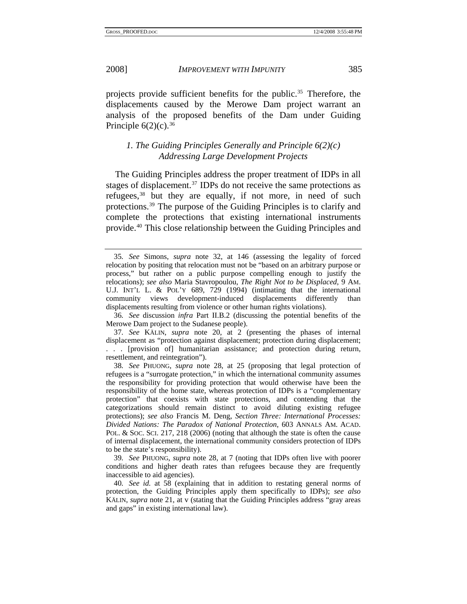<span id="page-9-0"></span>

projects provide sufficient benefits for the public.<sup>[35](#page-9-1)</sup> Therefore, the displacements caused by the Merowe Dam project warrant an analysis of the proposed benefits of the Dam under Guiding Principle  $6(2)(c)$ .<sup>[36](#page-9-2)</sup>

#### *1. The Guiding Principles Generally and Principle 6(2)(c) Addressing Large Development Projects*

The Guiding Principles address the proper treatment of IDPs in all stages of displacement.<sup>[37](#page-9-3)</sup> IDPs do not receive the same protections as refugees,<sup>[38](#page-9-4)</sup> but they are equally, if not more, in need of such protections.[39](#page-9-5) The purpose of the Guiding Principles is to clarify and complete the protections that existing international instruments provide.[40](#page-9-6) This close relationship between the Guiding Principles and

<span id="page-9-2"></span>36*. See* discussion *infra* Part II.B.2 (discussing the potential benefits of the Merowe Dam project to the Sudanese people).

<span id="page-9-3"></span>37*. See* KÄLIN, *supra* note 20, at 2 (presenting the phases of internal displacement as "protection against displacement; protection during displacement; . . . [provision of] humanitarian assistance; and protection during return, resettlement, and reintegration").

<span id="page-9-4"></span>38*. See* PHUONG, *supra* note 28, at 25 (proposing that legal protection of refugees is a "surrogate protection," in which the international community assumes the responsibility for providing protection that would otherwise have been the responsibility of the home state, whereas protection of IDPs is a "complementary protection" that coexists with state protections, and contending that the categorizations should remain distinct to avoid diluting existing refugee protections); *see also* Francis M. Deng, *Section Three: International Processes: Divided Nations: The Paradox of National Protection*, 603 ANNALS AM. ACAD. POL. & SOC. SCI. 217, 218 (2006) (noting that although the state is often the cause of internal displacement, the international community considers protection of IDPs to be the state's responsibility).

<span id="page-9-5"></span>39*. See* PHUONG, *supra* note 28, at 7 (noting that IDPs often live with poorer conditions and higher death rates than refugees because they are frequently inaccessible to aid agencies).

<span id="page-9-6"></span>40*. See id.* at 58 (explaining that in addition to restating general norms of protection, the Guiding Principles apply them specifically to IDPs); *see also* KÄLIN, *supra* note 21, at v (stating that the Guiding Principles address "gray areas and gaps" in existing international law).

<span id="page-9-1"></span><sup>35</sup>*. See* Simons, *supra* note 32, at 146 (assessing the legality of forced relocation by positing that relocation must not be "based on an arbitrary purpose or process," but rather on a public purpose compelling enough to justify the relocations); *see also* Maria Stavropoulou, *The Right Not to be Displaced*, 9 AM. U.J. INT'L L. & POL'Y 689, 729 (1994) (intimating that the international community views development-induced displacements differently than displacements resulting from violence or other human rights violations).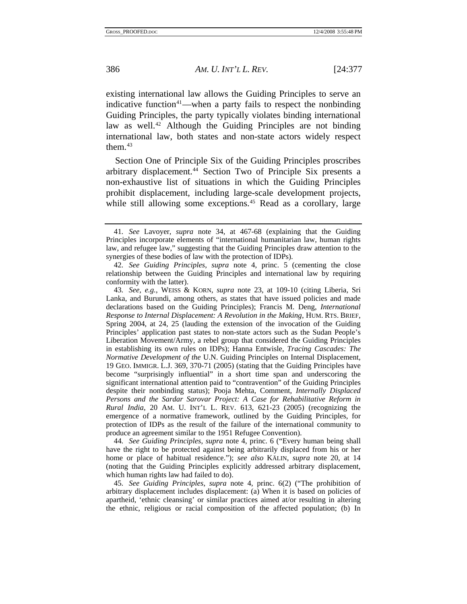existing international law allows the Guiding Principles to serve an indicative function<sup>41</sup>—when a party fails to respect the nonbinding Guiding Principles, the party typically violates binding international law as well.<sup>[42](#page-10-1)</sup> Although the Guiding Principles are not binding international law, both states and non-state actors widely respect them. $43$ 

Section One of Principle Six of the Guiding Principles proscribes arbitrary displacement.[44](#page-10-3) Section Two of Principle Six presents a non-exhaustive list of situations in which the Guiding Principles prohibit displacement, including large-scale development projects, while still allowing some exceptions.<sup>[45](#page-10-4)</sup> Read as a corollary, large

<span id="page-10-3"></span>44*. See Guiding Principles*, *supra* note 4, princ. 6 ("Every human being shall have the right to be protected against being arbitrarily displaced from his or her home or place of habitual residence."); *see also* KÄLIN, *supra* note 20, at 14 (noting that the Guiding Principles explicitly addressed arbitrary displacement, which human rights law had failed to do).

<span id="page-10-4"></span>45*. See Guiding Principles*, *supra* note 4, princ. 6(2) ("The prohibition of arbitrary displacement includes displacement: (a) When it is based on policies of apartheid, 'ethnic cleansing' or similar practices aimed at/or resulting in altering the ethnic, religious or racial composition of the affected population; (b) In

<span id="page-10-0"></span><sup>41</sup>*. See* Lavoyer, *supra* note 34, at 467-68 (explaining that the Guiding Principles incorporate elements of "international humanitarian law, human rights law, and refugee law," suggesting that the Guiding Principles draw attention to the synergies of these bodies of law with the protection of IDPs).

<span id="page-10-1"></span><sup>42</sup>*. See Guiding Principles*, *supra* note 4, princ. 5 (cementing the close relationship between the Guiding Principles and international law by requiring conformity with the latter).

<span id="page-10-2"></span><sup>43</sup>*. See, e.g.*, WEISS & KORN, *supra* note 23, at 109-10 (citing Liberia, Sri Lanka, and Burundi, among others, as states that have issued policies and made declarations based on the Guiding Principles); Francis M. Deng, *International Response to Internal Displacement: A Revolution in the Making*, HUM. RTS. BRIEF, Spring 2004, at 24, 25 (lauding the extension of the invocation of the Guiding Principles' application past states to non-state actors such as the Sudan People's Liberation Movement/Army, a rebel group that considered the Guiding Principles in establishing its own rules on IDPs); Hanna Entwisle, *Tracing Cascades: The Normative Development of the* U.N. Guiding Principles on Internal Displacement, 19 GEO. IMMIGR. L.J. 369, 370-71 (2005) (stating that the Guiding Principles have become "surprisingly influential" in a short time span and underscoring the significant international attention paid to "contravention" of the Guiding Principles despite their nonbinding status); Pooja Mehta, Comment, *Internally Displaced Persons and the Sardar Sarovar Project: A Case for Rehabilitative Reform in Rural India*, 20 AM. U. INT'L L. REV. 613, 621-23 (2005) (recognizing the emergence of a normative framework, outlined by the Guiding Principles, for protection of IDPs as the result of the failure of the international community to produce an agreement similar to the 1951 Refugee Convention).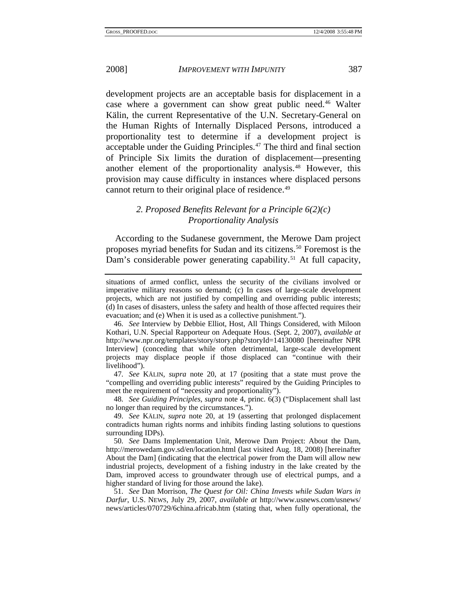<span id="page-11-0"></span>development projects are an acceptable basis for displacement in a case where a government can show great public need.[46](#page-11-1) Walter Kälin, the current Representative of the U.N. Secretary-General on the Human Rights of Internally Displaced Persons, introduced a proportionality test to determine if a development project is acceptable under the Guiding Principles.[47](#page-11-2) The third and final section of Principle Six limits the duration of displacement—presenting another element of the proportionality analysis.[48](#page-11-3) However, this provision may cause difficulty in instances where displaced persons cannot return to their original place of residence.<sup>49</sup>

### *2. Proposed Benefits Relevant for a Principle 6(2)(c) Proportionality Analysis*

According to the Sudanese government, the Merowe Dam project proposes myriad benefits for Sudan and its citizens.[50](#page-11-5) Foremost is the Dam's considerable power generating capability.<sup>[51](#page-11-6)</sup> At full capacity,

<span id="page-11-2"></span>47*. See* KÄLIN, *supra* note 20, at 17 (positing that a state must prove the "compelling and overriding public interests" required by the Guiding Principles to meet the requirement of "necessity and proportionality").

<span id="page-11-3"></span>48*. See Guiding Principles*, *supra* note 4, princ. 6(3) ("Displacement shall last no longer than required by the circumstances.").

<span id="page-11-4"></span>49*. See* KÄLIN, *supra* note 20, at 19 (asserting that prolonged displacement contradicts human rights norms and inhibits finding lasting solutions to questions surrounding IDPs).

<span id="page-11-5"></span>50*. See* Dams Implementation Unit, Merowe Dam Project: About the Dam, http://merowedam.gov.sd/en/location.html (last visited Aug. 18, 2008) [hereinafter About the Dam] (indicating that the electrical power from the Dam will allow new industrial projects, development of a fishing industry in the lake created by the Dam, improved access to groundwater through use of electrical pumps, and a higher standard of living for those around the lake).

<span id="page-11-6"></span>51*. See* Dan Morrison, *The Quest for Oil: China Invests while Sudan Wars in Darfur*, U.S. NEWS, July 29, 2007, *available at* http://www.usnews.com/usnews/ news/articles/070729/6china.africab.htm (stating that, when fully operational, the

situations of armed conflict, unless the security of the civilians involved or imperative military reasons so demand; (c) In cases of large-scale development projects, which are not justified by compelling and overriding public interests; (d) In cases of disasters, unless the safety and health of those affected requires their evacuation; and (e) When it is used as a collective punishment.").

<span id="page-11-1"></span><sup>46</sup>*. See* Interview by Debbie Elliot, Host, All Things Considered, with Miloon Kothari, U.N. Special Rapporteur on Adequate Hous. (Sept. 2, 2007), *available at* http://www.npr.org/templates/story/story.php?storyId=14130080 [hereinafter NPR Interview] (conceding that while often detrimental, large-scale development projects may displace people if those displaced can "continue with their livelihood").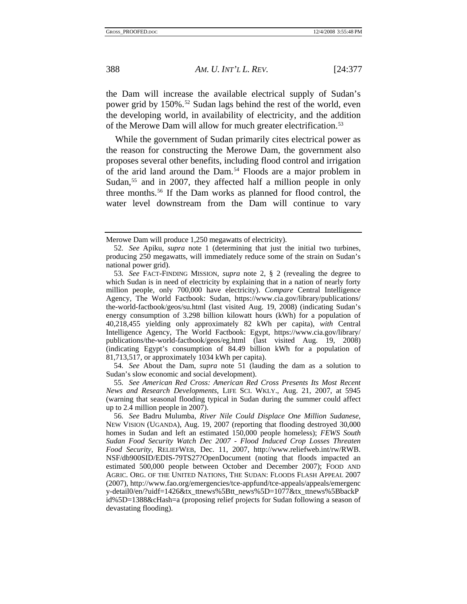the Dam will increase the available electrical supply of Sudan's power grid by 150%.<sup>[52](#page-12-0)</sup> Sudan lags behind the rest of the world, even the developing world, in availability of electricity, and the addition of the Merowe Dam will allow for much greater electrification.<sup>[53](#page-12-1)</sup>

While the government of Sudan primarily cites electrical power as the reason for constructing the Merowe Dam, the government also proposes several other benefits, including flood control and irrigation of the arid land around the Dam.[54](#page-12-2) Floods are a major problem in Sudan,<sup>55</sup> and in 2007, they affected half a million people in only three months.[56](#page-12-4) If the Dam works as planned for flood control, the water level downstream from the Dam will continue to vary

<span id="page-12-2"></span>54*. See* About the Dam, *supra* note 51 (lauding the dam as a solution to Sudan's slow economic and social development).

<span id="page-12-3"></span>55*. See American Red Cross: American Red Cross Presents Its Most Recent News and Research Developments*, LIFE SCI. WKLY., Aug. 21, 2007, at 5945 (warning that seasonal flooding typical in Sudan during the summer could affect up to 2.4 million people in 2007).

Merowe Dam will produce 1,250 megawatts of electricity).

<span id="page-12-0"></span><sup>52</sup>*. See* Apiku, *supra* note 1 (determining that just the initial two turbines, producing 250 megawatts, will immediately reduce some of the strain on Sudan's national power grid).

<span id="page-12-1"></span><sup>53</sup>*. See* FACT-FINDING MISSION, *supra* note 2, § 2 (revealing the degree to which Sudan is in need of electricity by explaining that in a nation of nearly forty million people, only 700,000 have electricity). *Compare* Central Intelligence Agency, The World Factbook: Sudan, https://www.cia.gov/library/publications/ the-world-factbook/geos/su.html (last visited Aug. 19, 2008) (indicating Sudan's energy consumption of 3.298 billion kilowatt hours (kWh) for a population of 40,218,455 yielding only approximately 82 kWh per capita), *with* Central Intelligence Agency, The World Factbook: Egypt, https://www.cia.gov/library/ publications/the-world-factbook/geos/eg.html (last visited Aug. 19, 2008) (indicating Egypt's consumption of 84.49 billion kWh for a population of 81,713,517, or approximately 1034 kWh per capita).

<span id="page-12-4"></span><sup>56</sup>*. See* Badru Mulumba, *River Nile Could Displace One Million Sudanese*, NEW VISION (UGANDA), Aug. 19, 2007 (reporting that flooding destroyed 30,000 homes in Sudan and left an estimated 150,000 people homeless); *FEWS South Sudan Food Security Watch Dec 2007 - Flood Induced Crop Losses Threaten Food Security*, RELIEFWEB, Dec. 11, 2007, http://www.reliefweb.int/rw/RWB. NSF/db900SID/EDIS-79TS27?OpenDocument (noting that floods impacted an estimated 500,000 people between October and December 2007); FOOD AND AGRIC. ORG. OF THE UNITED NATIONS, THE SUDAN: FLOODS FLASH APPEAL 2007 (2007), http://www.fao.org/emergencies/tce-appfund/tce-appeals/appeals/emergenc y-detail0/en/?uidf=1426&tx\_ttnews%5Btt\_news%5D=1077&tx\_ttnews%5BbackP id%5D=1388&cHash=a (proposing relief projects for Sudan following a season of devastating flooding).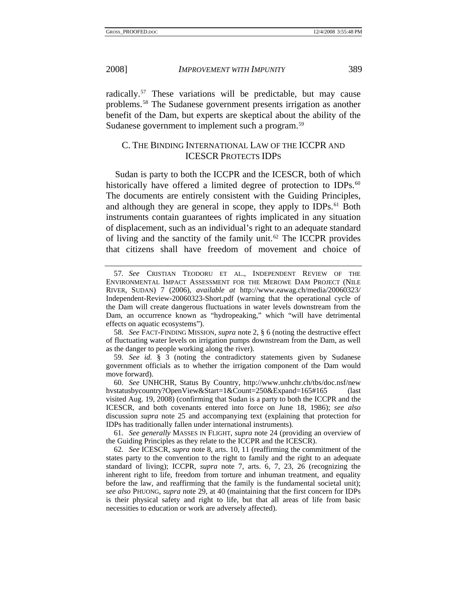<span id="page-13-0"></span>

radically[.57](#page-13-1) These variations will be predictable, but may cause problems.[58](#page-13-2) The Sudanese government presents irrigation as another benefit of the Dam, but experts are skeptical about the ability of the Sudanese government to implement such a program.<sup>[59](#page-13-3)</sup>

#### C. THE BINDING INTERNATIONAL LAW OF THE ICCPR AND ICESCR PROTECTS IDPS

Sudan is party to both the ICCPR and the ICESCR, both of which historically have offered a limited degree of protection to IDPs.<sup>[60](#page-13-4)</sup> The documents are entirely consistent with the Guiding Principles, and although they are general in scope, they apply to IDPs.<sup>[61](#page-13-5)</sup> Both instruments contain guarantees of rights implicated in any situation of displacement, such as an individual's right to an adequate standard of living and the sanctity of the family unit.<sup>[62](#page-13-6)</sup> The ICCPR provides that citizens shall have freedom of movement and choice of

<span id="page-13-2"></span>58*. See* FACT-FINDING MISSION, *supra* note 2, § 6 (noting the destructive effect of fluctuating water levels on irrigation pumps downstream from the Dam, as well as the danger to people working along the river).

<span id="page-13-3"></span>59*. See id.* § 3 (noting the contradictory statements given by Sudanese government officials as to whether the irrigation component of the Dam would move forward).

<span id="page-13-4"></span>60*. See* UNHCHR, Status By Country, http://www.unhchr.ch/tbs/doc.nsf/new hvstatusbycountry?OpenView&Start=1&Count=250&Expand=165#165 (last visited Aug. 19, 2008) (confirming that Sudan is a party to both the ICCPR and the ICESCR, and both covenants entered into force on June 18, 1986); *see also* discussion *supra* note 25 and accompanying text (explaining that protection for IDPs has traditionally fallen under international instruments).

<span id="page-13-5"></span>61*. See generally* MASSES IN FLIGHT, *supra* note 24 (providing an overview of the Guiding Principles as they relate to the ICCPR and the ICESCR).

<span id="page-13-6"></span>62*. See* ICESCR, *supra* note 8, arts. 10, 11 (reaffirming the commitment of the states party to the convention to the right to family and the right to an adequate standard of living); ICCPR, *supra* note 7, arts. 6, 7, 23, 26 (recognizing the inherent right to life, freedom from torture and inhuman treatment, and equality before the law, and reaffirming that the family is the fundamental societal unit); *see also* PHUONG, *supra* note 29, at 40 (maintaining that the first concern for IDPs is their physical safety and right to life, but that all areas of life from basic necessities to education or work are adversely affected).

<span id="page-13-1"></span><sup>57</sup>*. See* CRISTIAN TEODORU ET AL., INDEPENDENT REVIEW OF THE ENVIRONMENTAL IMPACT ASSESSMENT FOR THE MEROWE DAM PROJECT (NILE RIVER, SUDAN) 7 (2006), *available at* http://www.eawag.ch/media/20060323/ Independent-Review-20060323-Short.pdf (warning that the operational cycle of the Dam will create dangerous fluctuations in water levels downstream from the Dam, an occurrence known as "hydropeaking," which "will have detrimental effects on aquatic ecosystems").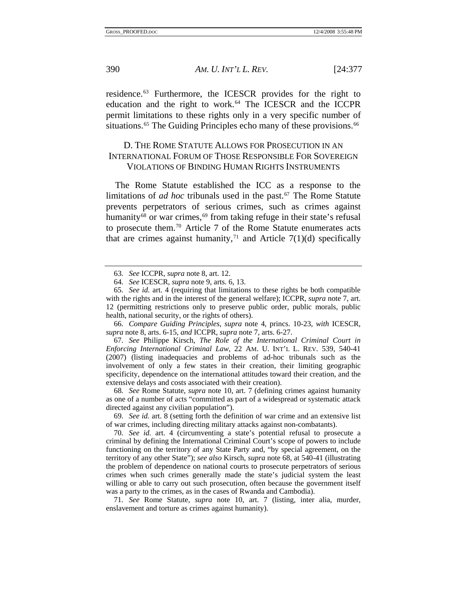<span id="page-14-0"></span>residence.[63](#page-14-1) Furthermore, the ICESCR provides for the right to education and the right to work.<sup>[64](#page-14-2)</sup> The ICESCR and the ICCPR permit limitations to these rights only in a very specific number of situations.<sup>[65](#page-14-3)</sup> The Guiding Principles echo many of these provisions.<sup>[66](#page-14-4)</sup>

### D. THE ROME STATUTE ALLOWS FOR PROSECUTION IN AN INTERNATIONAL FORUM OF THOSE RESPONSIBLE FOR SOVEREIGN VIOLATIONS OF BINDING HUMAN RIGHTS INSTRUMENTS

The Rome Statute established the ICC as a response to the limitations of *ad hoc* tribunals used in the past.<sup>[67](#page-14-5)</sup> The Rome Statute prevents perpetrators of serious crimes, such as crimes against humanity<sup>[68](#page-14-6)</sup> or war crimes,<sup>[69](#page-14-7)</sup> from taking refuge in their state's refusal to prosecute them.[70](#page-14-8) Article 7 of the Rome Statute enumerates acts that are crimes against humanity,<sup>[71](#page-14-9)</sup> and Article 7(1)(d) specifically

<span id="page-14-4"></span>66*. Compare Guiding Principles*, *supra* note 4, princs. 10-23, *with* ICESCR, *supra* note 8, arts. 6-15, *and* ICCPR, *supra* note 7, arts. 6-27.

<span id="page-14-5"></span>67*. See* Philippe Kirsch, *The Role of the International Criminal Court in Enforcing International Criminal Law*, 22 AM. U. INT'L L. REV. 539, 540-41 (2007) (listing inadequacies and problems of ad-hoc tribunals such as the involvement of only a few states in their creation, their limiting geographic specificity, dependence on the international attitudes toward their creation, and the extensive delays and costs associated with their creation).

<span id="page-14-6"></span>68*. See* Rome Statute, *supra* note 10, art. 7 (defining crimes against humanity as one of a number of acts "committed as part of a widespread or systematic attack directed against any civilian population").

<span id="page-14-7"></span>69*. See id.* art. 8 (setting forth the definition of war crime and an extensive list of war crimes, including directing military attacks against non-combatants).

<span id="page-14-8"></span>70*. See id.* art. 4 (circumventing a state's potential refusal to prosecute a criminal by defining the International Criminal Court's scope of powers to include functioning on the territory of any State Party and, "by special agreement, on the territory of any other State"); *see also* Kirsch, *supra* note 68, at 540-41 (illustrating the problem of dependence on national courts to prosecute perpetrators of serious crimes when such crimes generally made the state's judicial system the least willing or able to carry out such prosecution, often because the government itself was a party to the crimes, as in the cases of Rwanda and Cambodia).

<span id="page-14-9"></span>71*. See* Rome Statute, *supra* note 10, art. 7 (listing, inter alia, murder, enslavement and torture as crimes against humanity).

<sup>63</sup>*. See* ICCPR, *supra* note 8, art. 12.

<sup>64</sup>*. See* ICESCR, *supra* note 9, arts. 6, 13.

<span id="page-14-3"></span><span id="page-14-2"></span><span id="page-14-1"></span><sup>65</sup>*. See id.* art. 4 (requiring that limitations to these rights be both compatible with the rights and in the interest of the general welfare); ICCPR, *supra* note 7, art. 12 (permitting restrictions only to preserve public order, public morals, public health, national security, or the rights of others).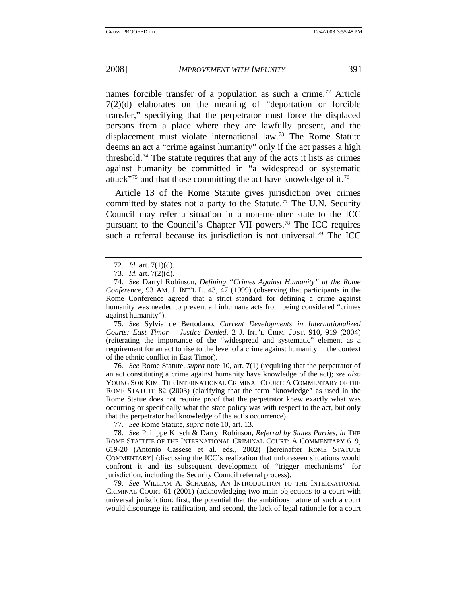names forcible transfer of a population as such a crime.<sup>[72](#page-15-0)</sup> Article 7(2)(d) elaborates on the meaning of "deportation or forcible transfer," specifying that the perpetrator must force the displaced persons from a place where they are lawfully present, and the displacement must violate international law.[73](#page-15-1) The Rome Statute deems an act a "crime against humanity" only if the act passes a high threshold.<sup>[74](#page-15-2)</sup> The statute requires that any of the acts it lists as crimes against humanity be committed in "a widespread or systematic attack"<sup>[75](#page-15-3)</sup> and that those committing the act have knowledge of it.<sup>[76](#page-15-4)</sup>

Article 13 of the Rome Statute gives jurisdiction over crimes committed by states not a party to the Statute.<sup>[77](#page-15-5)</sup> The U.N. Security Council may refer a situation in a non-member state to the ICC pursuant to the Council's Chapter VII powers.[78](#page-15-6) The ICC requires such a referral because its jurisdiction is not universal.<sup>[79](#page-15-7)</sup> The ICC

<span id="page-15-3"></span>75*. See* Sylvia de Bertodano, *Current Developments in Internationalized Courts: East Timor – Justice Denied*, 2 J. INT'L CRIM. JUST. 910, 919 (2004) (reiterating the importance of the "widespread and systematic" element as a requirement for an act to rise to the level of a crime against humanity in the context of the ethnic conflict in East Timor).

<span id="page-15-4"></span>76*. See* Rome Statute, *supra* note 10, art. 7(1) (requiring that the perpetrator of an act constituting a crime against humanity have knowledge of the act); *see also* YOUNG SOK KIM, THE INTERNATIONAL CRIMINAL COURT: A COMMENTARY OF THE ROME STATUTE 82 (2003) (clarifying that the term "knowledge" as used in the Rome Statue does not require proof that the perpetrator knew exactly what was occurring or specifically what the state policy was with respect to the act, but only that the perpetrator had knowledge of the act's occurrence).

77*. See* Rome Statute, *supra* note 10, art. 13.

<span id="page-15-6"></span><span id="page-15-5"></span>78*. See* Philippe Kirsch & Darryl Robinson, *Referral by States Parties*, *in* THE ROME STATUTE OF THE INTERNATIONAL CRIMINAL COURT: A COMMENTARY 619, 619-20 (Antonio Cassese et al. eds., 2002) [hereinafter ROME STATUTE COMMENTARY] (discussing the ICC's realization that unforeseen situations would confront it and its subsequent development of "trigger mechanisms" for jurisdiction, including the Security Council referral process).

<span id="page-15-7"></span>79*. See* WILLIAM A. SCHABAS, AN INTRODUCTION TO THE INTERNATIONAL CRIMINAL COURT 61 (2001) (acknowledging two main objections to a court with universal jurisdiction: first, the potential that the ambitious nature of such a court would discourage its ratification, and second, the lack of legal rationale for a court

<sup>72</sup>*. Id.* art. 7(1)(d).

<sup>73</sup>*. Id.* art. 7(2)(d).

<span id="page-15-2"></span><span id="page-15-1"></span><span id="page-15-0"></span><sup>74</sup>*. See* Darryl Robinson, *Defining "Crimes Against Humanity" at the Rome Conference*, 93 AM. J. INT'L L. 43, 47 (1999) (observing that participants in the Rome Conference agreed that a strict standard for defining a crime against humanity was needed to prevent all inhumane acts from being considered "crimes against humanity").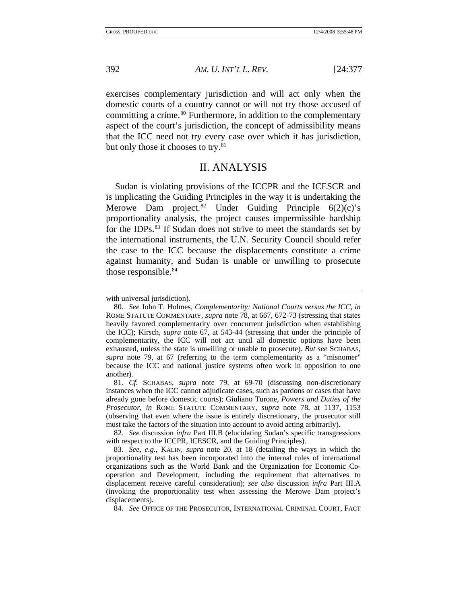exercises complementary jurisdiction and will act only when the domestic courts of a country cannot or will not try those accused of committing a crime.<sup>[80](#page-16-1)</sup> Furthermore, in addition to the complementary aspect of the court's jurisdiction, the concept of admissibility means that the ICC need not try every case over which it has jurisdiction, but only those it chooses to try.<sup>[81](#page-16-2)</sup>

# II. ANALYSIS

Sudan is violating provisions of the ICCPR and the ICESCR and is implicating the Guiding Principles in the way it is undertaking the Merowe Dam project.<sup>[82](#page-16-3)</sup> Under Guiding Principle  $6(2)(c)$ 's proportionality analysis, the project causes impermissible hardship for the IDPs.<sup>[83](#page-16-4)</sup> If Sudan does not strive to meet the standards set by the international instruments, the U.N. Security Council should refer the case to the ICC because the displacements constitute a crime against humanity, and Sudan is unable or unwilling to prosecute those responsible.<sup>84</sup>

<span id="page-16-0"></span>

with universal jurisdiction).

<span id="page-16-1"></span><sup>80</sup>*. See* John T. Holmes, *Complementarity: National Courts versus the ICC*, *in* ROME STATUTE COMMENTARY, *supra* note 78, at 667, 672-73 (stressing that states heavily favored complementarity over concurrent jurisdiction when establishing the ICC); Kirsch, *supra* note 67, at 543-44 (stressing that under the principle of complementarity, the ICC will not act until all domestic options have been exhausted, unless the state is unwilling or unable to prosecute). *But see* SCHABAS, *supra* note 79, at 67 (referring to the term complementarity as a "misnomer" because the ICC and national justice systems often work in opposition to one another).

<span id="page-16-2"></span><sup>81</sup>*. Cf.* SCHABAS, *supra* note 79, at 69-70 (discussing non-discretionary instances when the ICC cannot adjudicate cases, such as pardons or cases that have already gone before domestic courts); Giuliano Turone, *Powers and Duties of the Prosecutor*, *in* ROME STATUTE COMMENTARY, *supra* note 78, at 1137, 1153 (observing that even where the issue is entirely discretionary, the prosecutor still must take the factors of the situation into account to avoid acting arbitrarily).

<span id="page-16-3"></span><sup>82</sup>*. See* discussion *infra* Part III.B (elucidating Sudan's specific transgressions with respect to the ICCPR, ICESCR, and the Guiding Principles).

<span id="page-16-4"></span><sup>83</sup>*. See, e.g.*, KÄLIN, *supra* note 20, at 18 (detailing the ways in which the proportionality test has been incorporated into the internal rules of international organizations such as the World Bank and the Organization for Economic Cooperation and Development, including the requirement that alternatives to displacement receive careful consideration); *see also* discussion *infra* Part III.A (invoking the proportionality test when assessing the Merowe Dam project's displacements).

<span id="page-16-5"></span><sup>84</sup>*. See* OFFICE OF THE PROSECUTOR, INTERNATIONAL CRIMINAL COURT, FACT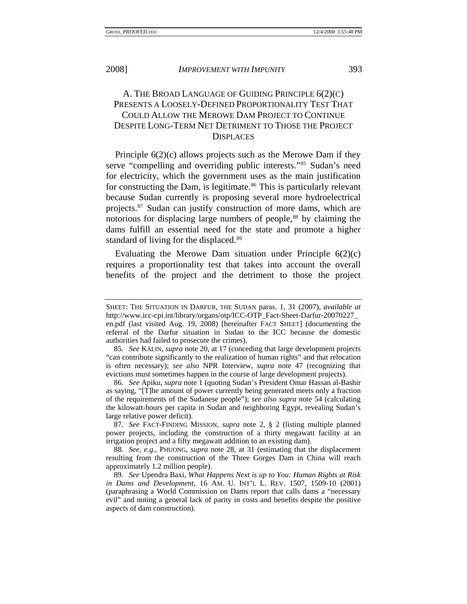<span id="page-17-0"></span>

# A. THE BROAD LANGUAGE OF GUIDING PRINCIPLE 6(2)(C) PRESENTS A LOOSELY-DEFINED PROPORTIONALITY TEST THAT COULD ALLOW THE MEROWE DAM PROJECT TO CONTINUE DESPITE LONG-TERM NET DETRIMENT TO THOSE THE PROJECT DISPLACES

Principle 6(2)(c) allows projects such as the Merowe Dam if they serve "compelling and overriding public interests."[85](#page-17-1) Sudan's need for electricity, which the government uses as the main justification for constructing the Dam, is legitimate.<sup>[86](#page-17-2)</sup> This is particularly relevant because Sudan currently is proposing several more hydroelectrical projects.[87](#page-17-3) Sudan can justify construction of more dams, which are notorious for displacing large numbers of people,<sup>[88](#page-17-4)</sup> by claiming the dams fulfill an essential need for the state and promote a higher standard of living for the displaced.<sup>[89](#page-17-5)</sup>

Evaluating the Merowe Dam situation under Principle  $6(2)(c)$ requires a proportionality test that takes into account the overall benefits of the project and the detriment to those the project

SHEET: THE SITUATION IN DARFUR, THE SUDAN paras. 1, 31 (2007), *available at* http://www.icc-cpi.int/library/organs/otp/ICC-OTP\_Fact-Sheet-Darfur-20070227\_ en.pdf (last visited Aug. 19, 2008) [hereinafter FACT SHEET] (documenting the referral of the Darfur situation in Sudan to the ICC because the domestic authorities had failed to prosecute the crimes).

<span id="page-17-1"></span><sup>85</sup>*. See* KÄLIN, *supra* note 20, at 17 (conceding that large development projects "can contribute significantly to the realization of human rights" and that relocation is often necessary); *see also* NPR Interview, *supra* note 47 (recognizing that evictions must sometimes happen in the course of large development projects).

<span id="page-17-2"></span><sup>86</sup>*. See* Apiku, *supra* note 1 (quoting Sudan's President Omar Hassan al-Bashir as saying, "[T]he amount of power currently being generated meets only a fraction of the requirements of the Sudanese people"); *see also supra* note 54 (calculating the kilowatt-hours per capita in Sudan and neighboring Egypt, revealing Sudan's large relative power deficit).

<span id="page-17-3"></span><sup>87</sup>*. See* FACT-FINDING MISSION, *supra* note 2, § 2 (listing multiple planned power projects, including the construction of a thirty megawatt facility at an irrigation project and a fifty megawatt addition to an existing dam).

<span id="page-17-4"></span><sup>88</sup>*. See, e.g.*, PHUONG, *supra* note 28, at 31 (estimating that the displacement resulting from the construction of the Three Gorges Dam in China will reach approximately 1.2 million people).

<span id="page-17-5"></span><sup>89</sup>*. See* Upendra Baxi, *What Happens Next is up to You: Human Rights at Risk in Dams and Development*, 16 AM. U. INT'L L. REV. 1507, 1509-10 (2001) (paraphrasing a World Commission on Dams report that calls dams a "necessary evil" and noting a general lack of parity in costs and benefits despite the positive aspects of dam construction).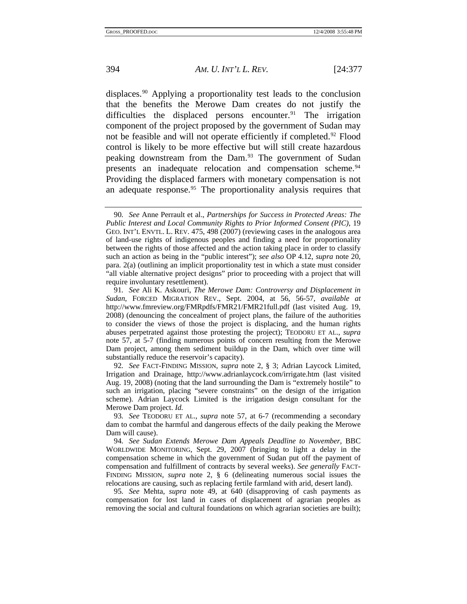displaces.[90](#page-18-0) Applying a proportionality test leads to the conclusion that the benefits the Merowe Dam creates do not justify the difficulties the displaced persons encounter.<sup>[91](#page-18-1)</sup> The irrigation component of the project proposed by the government of Sudan may not be feasible and will not operate efficiently if completed.[92](#page-18-2) Flood control is likely to be more effective but will still create hazardous peaking downstream from the Dam.<sup>[93](#page-18-3)</sup> The government of Sudan presents an inadequate relocation and compensation scheme.<sup>94</sup> Providing the displaced farmers with monetary compensation is not an adequate response.<sup>[95](#page-18-5)</sup> The proportionality analysis requires that

<span id="page-18-2"></span>92*. See* FACT-FINDING MISSION, *supra* note 2, § 3; Adrian Laycock Limited, Irrigation and Drainage, http://www.adrianlaycock.com/irrigate.htm (last visited Aug. 19, 2008) (noting that the land surrounding the Dam is "extremely hostile" to such an irrigation, placing "severe constraints" on the design of the irrigation scheme). Adrian Laycock Limited is the irrigation design consultant for the Merowe Dam project. *Id.*

<span id="page-18-3"></span>93*. See* TEODORU ET AL., *supra* note 57, at 6-7 (recommending a secondary dam to combat the harmful and dangerous effects of the daily peaking the Merowe Dam will cause).

<span id="page-18-4"></span>94*. See Sudan Extends Merowe Dam Appeals Deadline to November*, BBC WORLDWIDE MONITORING, Sept. 29, 2007 (bringing to light a delay in the compensation scheme in which the government of Sudan put off the payment of compensation and fulfillment of contracts by several weeks). *See generally* FACT-FINDING MISSION, *supra* note 2, § 6 (delineating numerous social issues the relocations are causing, such as replacing fertile farmland with arid, desert land).

<span id="page-18-5"></span>95*. See* Mehta, *supra* note 49, at 640 (disapproving of cash payments as compensation for lost land in cases of displacement of agrarian peoples as removing the social and cultural foundations on which agrarian societies are built);

<span id="page-18-0"></span><sup>90</sup>*. See* Anne Perrault et al., *Partnerships for Success in Protected Areas: The Public Interest and Local Community Rights to Prior Informed Consent (PIC)*, 19 GEO. INT'L ENVTL. L. REV. 475, 498 (2007) (reviewing cases in the analogous area of land-use rights of indigenous peoples and finding a need for proportionality between the rights of those affected and the action taking place in order to classify such an action as being in the "public interest"); *see also* OP 4.12, *supra* note 20, para. 2(a) (outlining an implicit proportionality test in which a state must consider "all viable alternative project designs" prior to proceeding with a project that will require involuntary resettlement).

<span id="page-18-1"></span><sup>91</sup>*. See* Ali K. Askouri, *The Merowe Dam: Controversy and Displacement in Sudan*, FORCED MIGRATION REV., Sept. 2004, at 56, 56-57, *available at* http://www.fmreview.org/FMRpdfs/FMR21/FMR21full.pdf (last visited Aug. 19, 2008) (denouncing the concealment of project plans, the failure of the authorities to consider the views of those the project is displacing, and the human rights abuses perpetrated against those protesting the project); TEODORU ET AL., *supra* note 57, at 5-7 (finding numerous points of concern resulting from the Merowe Dam project, among them sediment buildup in the Dam, which over time will substantially reduce the reservoir's capacity).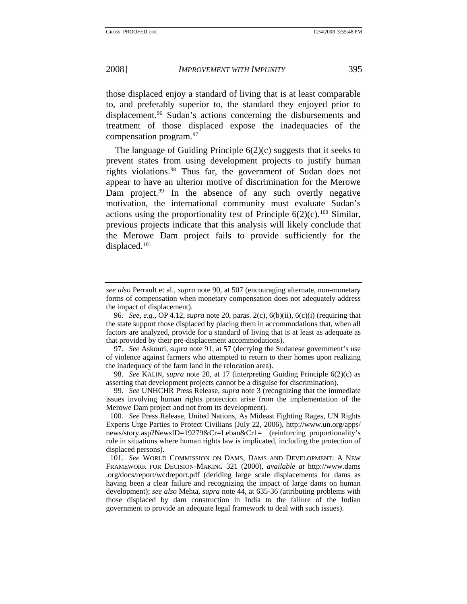those displaced enjoy a standard of living that is at least comparable to, and preferably superior to, the standard they enjoyed prior to displacement.[96](#page-19-0) Sudan's actions concerning the disbursements and treatment of those displaced expose the inadequacies of the compensation program.[97](#page-19-1)

The language of Guiding Principle 6(2)(c) suggests that it seeks to prevent states from using development projects to justify human rights violations.[98](#page-19-2) Thus far, the government of Sudan does not appear to have an ulterior motive of discrimination for the Merowe Dam project.<sup>[99](#page-19-3)</sup> In the absence of any such overtly negative motivation, the international community must evaluate Sudan's actions using the proportionality test of Principle  $6(2)(c)$ .<sup>[100](#page-19-4)</sup> Similar, previous projects indicate that this analysis will likely conclude that the Merowe Dam project fails to provide sufficiently for the displaced.[101](#page-19-5)

<span id="page-19-3"></span>99*. See* UNHCHR Press Release, *supra* note 3 (recognizing that the immediate issues involving human rights protection arise from the implementation of the Merowe Dam project and not from its development).

<span id="page-19-4"></span>100*. See* Press Release, United Nations, As Mideast Fighting Rages, UN Rights Experts Urge Parties to Protect Civilians (July 22, 2006), http://www.un.org/apps/ news/story.asp?NewsID=19279&Cr=Leban&Cr1= (reinforcing proportionality's role in situations where human rights law is implicated, including the protection of displaced persons).

*see also* Perrault et al., *supra* note 90, at 507 (encouraging alternate, non-monetary forms of compensation when monetary compensation does not adequately address the impact of displacement).

<span id="page-19-0"></span><sup>96</sup>*. See, e.g.*, OP 4.12, *supra* note 20, paras. 2(c), 6(b)(ii), 6(c)(i) (requiring that the state support those displaced by placing them in accommodations that, when all factors are analyzed, provide for a standard of living that is at least as adequate as that provided by their pre-displacement accommodations).

<span id="page-19-1"></span><sup>97</sup>*. See* Askouri, *supra* note 91, at 57 (decrying the Sudanese government's use of violence against farmers who attempted to return to their homes upon realizing the inadequacy of the farm land in the relocation area).

<span id="page-19-2"></span><sup>98</sup>*. See* KÄLIN, *supra* note 20, at 17 (interpreting Guiding Principle 6(2)(c) as asserting that development projects cannot be a disguise for discrimination).

<span id="page-19-5"></span><sup>101</sup>*. See* WORLD COMMISSION ON DAMS, DAMS AND DEVELOPMENT: A NEW FRAMEWORK FOR DECISION-MAKING 321 (2000), *available at* http://www.dams .org/docs/report/wcdreport.pdf (deriding large scale displacements for dams as having been a clear failure and recognizing the impact of large dams on human development); *see also* Mehta, *supra* note 44, at 635-36 (attributing problems with those displaced by dam construction in India to the failure of the Indian government to provide an adequate legal framework to deal with such issues).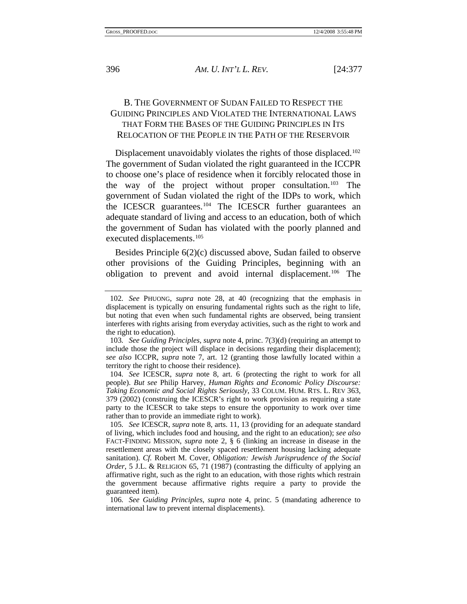# <span id="page-20-0"></span>B. THE GOVERNMENT OF SUDAN FAILED TO RESPECT THE GUIDING PRINCIPLES AND VIOLATED THE INTERNATIONAL LAWS THAT FORM THE BASES OF THE GUIDING PRINCIPLES IN ITS RELOCATION OF THE PEOPLE IN THE PATH OF THE RESERVOIR

Displacement unavoidably violates the rights of those displaced.<sup>[102](#page-20-1)</sup> The government of Sudan violated the right guaranteed in the ICCPR to choose one's place of residence when it forcibly relocated those in the way of the project without proper consultation.<sup>[103](#page-20-2)</sup> The government of Sudan violated the right of the IDPs to work, which the ICESCR guarantees.[104](#page-20-3) The ICESCR further guarantees an adequate standard of living and access to an education, both of which the government of Sudan has violated with the poorly planned and executed displacements.<sup>[105](#page-20-4)</sup>

Besides Principle 6(2)(c) discussed above, Sudan failed to observe other provisions of the Guiding Principles, beginning with an obligation to prevent and avoid internal displacement.[106](#page-20-5) The

<span id="page-20-1"></span><sup>102</sup>*. See* PHUONG, *supra* note 28, at 40 (recognizing that the emphasis in displacement is typically on ensuring fundamental rights such as the right to life, but noting that even when such fundamental rights are observed, being transient interferes with rights arising from everyday activities, such as the right to work and the right to education).

<span id="page-20-2"></span><sup>103</sup>*. See Guiding Principles*, *supra* note 4, princ. 7(3)(d) (requiring an attempt to include those the project will displace in decisions regarding their displacement); *see also* ICCPR, *supra* note 7, art. 12 (granting those lawfully located within a territory the right to choose their residence).

<span id="page-20-3"></span><sup>104</sup>*. See* ICESCR, *supra* note 8, art. 6 (protecting the right to work for all people). *But see* Philip Harvey, *Human Rights and Economic Policy Discourse: Taking Economic and Social Rights Seriously*, 33 COLUM. HUM. RTS. L. REV 363, 379 (2002) (construing the ICESCR's right to work provision as requiring a state party to the ICESCR to take steps to ensure the opportunity to work over time rather than to provide an immediate right to work).

<span id="page-20-4"></span><sup>105</sup>*. See* ICESCR, *supra* note 8, arts. 11, 13 (providing for an adequate standard of living, which includes food and housing, and the right to an education); *see also* FACT-FINDING MISSION, *supra* note 2, § 6 (linking an increase in disease in the resettlement areas with the closely spaced resettlement housing lacking adequate sanitation). *Cf.* Robert M. Cover, *Obligation: Jewish Jurisprudence of the Social Order*, 5 J.L. & RELIGION 65, 71 (1987) (contrasting the difficulty of applying an affirmative right, such as the right to an education, with those rights which restrain the government because affirmative rights require a party to provide the guaranteed item).

<span id="page-20-5"></span><sup>106</sup>*. See Guiding Principles*, *supra* note 4, princ. 5 (mandating adherence to international law to prevent internal displacements).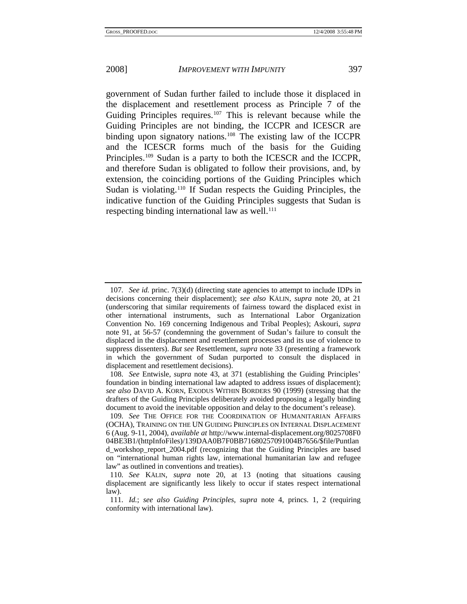government of Sudan further failed to include those it displaced in the displacement and resettlement process as Principle 7 of the Guiding Principles requires.<sup>[107](#page-21-0)</sup> This is relevant because while the Guiding Principles are not binding, the ICCPR and ICESCR are binding upon signatory nations.[108](#page-21-1) The existing law of the ICCPR and the ICESCR forms much of the basis for the Guiding Principles[.109](#page-21-2) Sudan is a party to both the ICESCR and the ICCPR, and therefore Sudan is obligated to follow their provisions, and, by extension, the coinciding portions of the Guiding Principles which Sudan is violating.<sup>[110](#page-21-3)</sup> If Sudan respects the Guiding Principles, the indicative function of the Guiding Principles suggests that Sudan is respecting binding international law as well. $^{111}$  $^{111}$  $^{111}$ 

<span id="page-21-0"></span><sup>107</sup>*. See id.* princ. 7(3)(d) (directing state agencies to attempt to include IDPs in decisions concerning their displacement); *see also* KÄLIN, *supra* note 20, at 21 (underscoring that similar requirements of fairness toward the displaced exist in other international instruments, such as International Labor Organization Convention No. 169 concerning Indigenous and Tribal Peoples); Askouri, *supra* note 91, at 56-57 (condemning the government of Sudan's failure to consult the displaced in the displacement and resettlement processes and its use of violence to suppress dissenters). *But see* Resettlement, *supra* note 33 (presenting a framework in which the government of Sudan purported to consult the displaced in displacement and resettlement decisions).

<span id="page-21-1"></span><sup>108</sup>*. See* Entwisle, *supra* note 43, at 371 (establishing the Guiding Principles' foundation in binding international law adapted to address issues of displacement); *see also* DAVID A. KORN, EXODUS WITHIN BORDERS 90 (1999) (stressing that the drafters of the Guiding Principles deliberately avoided proposing a legally binding document to avoid the inevitable opposition and delay to the document's release).

<span id="page-21-2"></span><sup>109</sup>*. See* THE OFFICE FOR THE COORDINATION OF HUMANITARIAN AFFAIRS (OCHA), TRAINING ON THE UN GUIDING PRINCIPLES ON INTERNAL DISPLACEMENT 6 (Aug. 9-11, 2004), *available at* http://www.internal-displacement.org/8025708F0 04BE3B1/(httpInfoFiles)/139DAA0B7F0BB71680257091004B7656/\$file/Puntlan d\_workshop\_report\_2004.pdf (recognizing that the Guiding Principles are based on "international human rights law, international humanitarian law and refugee law" as outlined in conventions and treaties).

<span id="page-21-3"></span><sup>110</sup>*. See* KÄLIN, *supra* note 20, at 13 (noting that situations causing displacement are significantly less likely to occur if states respect international law).

<span id="page-21-4"></span><sup>111</sup>*. Id.*; *see also Guiding Principles*, *supra* note 4, princs. 1, 2 (requiring conformity with international law).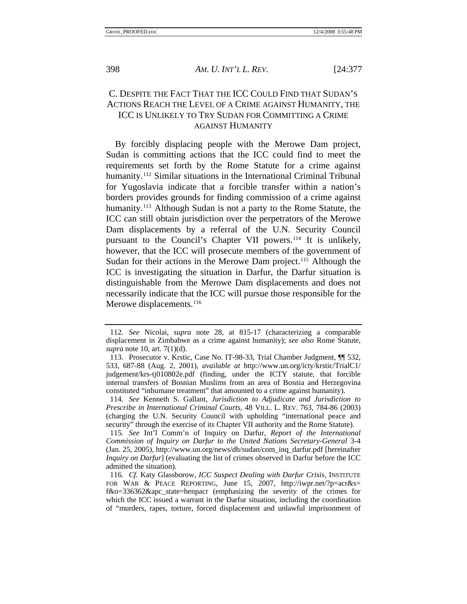<span id="page-22-0"></span>

# C. DESPITE THE FACT THAT THE ICC COULD FIND THAT SUDAN'S ACTIONS REACH THE LEVEL OF A CRIME AGAINST HUMANITY, THE ICC IS UNLIKELY TO TRY SUDAN FOR COMMITTING A CRIME AGAINST HUMANITY

By forcibly displacing people with the Merowe Dam project, Sudan is committing actions that the ICC could find to meet the requirements set forth by the Rome Statute for a crime against humanity.<sup>[112](#page-22-1)</sup> Similar situations in the International Criminal Tribunal for Yugoslavia indicate that a forcible transfer within a nation's borders provides grounds for finding commission of a crime against humanity.<sup>[113](#page-22-2)</sup> Although Sudan is not a party to the Rome Statute, the ICC can still obtain jurisdiction over the perpetrators of the Merowe Dam displacements by a referral of the U.N. Security Council pursuant to the Council's Chapter VII powers.<sup>[114](#page-22-3)</sup> It is unlikely, however, that the ICC will prosecute members of the government of Sudan for their actions in the Merowe Dam project.<sup>[115](#page-22-4)</sup> Although the ICC is investigating the situation in Darfur, the Darfur situation is distinguishable from the Merowe Dam displacements and does not necessarily indicate that the ICC will pursue those responsible for the Merowe displacements.<sup>[116](#page-22-5)</sup>

<span id="page-22-1"></span><sup>112</sup>*. See* Nicolai, *supra* note 28, at 815-17 (characterizing a comparable displacement in Zimbabwe as a crime against humanity); *see also* Rome Statute, *supra* note 10, art. 7(1)(d).

<span id="page-22-2"></span> <sup>113.</sup> Prosecutor v. Krstic, Case No. IT-98-33, Trial Chamber Judgment, ¶¶ 532, 533, 687-88 (Aug. 2, 2001), *available at* http://www.un.org/icty/krstic/TrialC1/ judgement/krs-tj010802e.pdf (finding, under the ICTY statute, that forcible internal transfers of Bosnian Muslims from an area of Bosnia and Herzegovina constituted "inhumane treatment" that amounted to a crime against humanity).

<span id="page-22-3"></span><sup>114</sup>*. See* Kenneth S. Gallant, *Jurisdiction to Adjudicate and Jurisdiction to Prescribe in International Criminal Courts*, 48 VILL. L. REV. 763, 784-86 (2003) (charging the U.N. Security Council with upholding "international peace and security" through the exercise of its Chapter VII authority and the Rome Statute).

<span id="page-22-4"></span><sup>115</sup>*. See* Int'l Comm'n of Inquiry on Darfur, *Report of the International Commission of Inquiry on Darfur to the United Nations Secretary-General* 3-4 (Jan. 25, 2005), http://www.un.org/news/dh/sudan/com\_inq\_darfur.pdf [hereinafter *Inquiry on Darfur*] (evaluating the list of crimes observed in Darfur before the ICC admitted the situation).

<span id="page-22-5"></span><sup>116</sup>*. Cf.* Katy Glassborow, *ICC Suspect Dealing with Darfur Crisis*, INSTITUTE FOR WAR & PEACE REPORTING, June 15, 2007, http://iwpr.net/?p=acr&s= f&o=336362&apc\_state=henpacr (emphasizing the severity of the crimes for which the ICC issued a warrant in the Darfur situation, including the coordination of "murders, rapes, torture, forced displacement and unlawful imprisonment of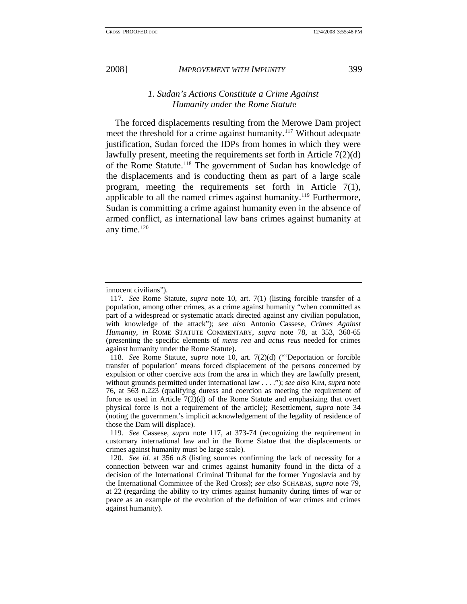<span id="page-23-0"></span>

## *1. Sudan's Actions Constitute a Crime Against Humanity under the Rome Statute*

The forced displacements resulting from the Merowe Dam project meet the threshold for a crime against humanity.<sup>[117](#page-23-1)</sup> Without adequate justification, Sudan forced the IDPs from homes in which they were lawfully present, meeting the requirements set forth in Article 7(2)(d) of the Rome Statute.<sup>[118](#page-23-2)</sup> The government of Sudan has knowledge of the displacements and is conducting them as part of a large scale program, meeting the requirements set forth in Article 7(1), applicable to all the named crimes against humanity.<sup>119</sup> Furthermore, Sudan is committing a crime against humanity even in the absence of armed conflict, as international law bans crimes against humanity at any time.[120](#page-23-4)

innocent civilians").

<span id="page-23-1"></span><sup>117</sup>*. See* Rome Statute, *supra* note 10, art. 7(1) (listing forcible transfer of a population, among other crimes, as a crime against humanity "when committed as part of a widespread or systematic attack directed against any civilian population, with knowledge of the attack"); *see also* Antonio Cassese, *Crimes Against Humanity*, *in* ROME STATUTE COMMENTARY, *supra* note 78, at 353, 360-65 (presenting the specific elements of *mens rea* and *actus reus* needed for crimes against humanity under the Rome Statute).

<span id="page-23-2"></span><sup>118</sup>*. See* Rome Statute, *supra* note 10, art. 7(2)(d) ("'Deportation or forcible transfer of population' means forced displacement of the persons concerned by expulsion or other coercive acts from the area in which they are lawfully present, without grounds permitted under international law . . . ."); *see also* KIM, *supra* note 76, at 563 n.223 (qualifying duress and coercion as meeting the requirement of force as used in Article 7(2)(d) of the Rome Statute and emphasizing that overt physical force is not a requirement of the article); Resettlement, *supra* note 34 (noting the government's implicit acknowledgement of the legality of residence of those the Dam will displace).

<span id="page-23-3"></span><sup>119</sup>*. See* Cassese, *supra* note 117, at 373-74 (recognizing the requirement in customary international law and in the Rome Statue that the displacements or crimes against humanity must be large scale).

<span id="page-23-4"></span><sup>120</sup>*. See id.* at 356 n.8 (listing sources confirming the lack of necessity for a connection between war and crimes against humanity found in the dicta of a decision of the International Criminal Tribunal for the former Yugoslavia and by the International Committee of the Red Cross); *see also* SCHABAS, *supra* note 79, at 22 (regarding the ability to try crimes against humanity during times of war or peace as an example of the evolution of the definition of war crimes and crimes against humanity).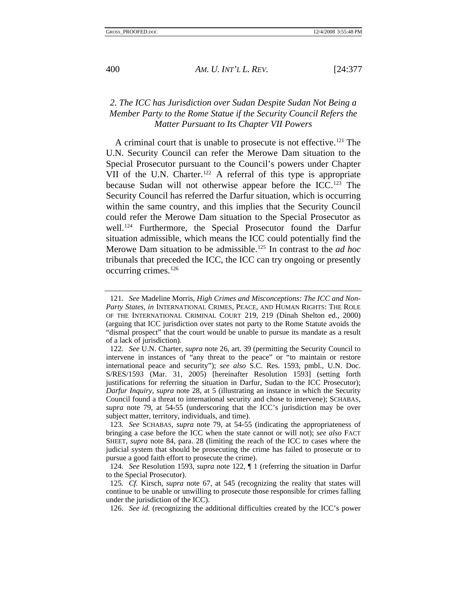## *2. The ICC has Jurisdiction over Sudan Despite Sudan Not Being a Member Party to the Rome Statue if the Security Council Refers the Matter Pursuant to Its Chapter VII Powers*

A criminal court that is unable to prosecute is not effective.<sup>[121](#page-24-1)</sup> The U.N. Security Council can refer the Merowe Dam situation to the Special Prosecutor pursuant to the Council's powers under Chapter VII of the U.N. Charter.<sup>[122](#page-24-2)</sup> A referral of this type is appropriate because Sudan will not otherwise appear before the ICC.<sup>[123](#page-24-3)</sup> The Security Council has referred the Darfur situation, which is occurring within the same country, and this implies that the Security Council could refer the Merowe Dam situation to the Special Prosecutor as well.[124](#page-24-4) Furthermore, the Special Prosecutor found the Darfur situation admissible, which means the ICC could potentially find the Merowe Dam situation to be admissible.[125](#page-24-5) In contrast to the *ad hoc* tribunals that preceded the ICC, the ICC can try ongoing or presently occurring crimes.[126](#page-24-6)

<span id="page-24-0"></span>

<span id="page-24-1"></span><sup>121</sup>*. See* Madeline Morris, *High Crimes and Misconceptions: The ICC and Non-Party States*, *in* INTERNATIONAL CRIMES, PEACE, AND HUMAN RIGHTS: THE ROLE OF THE INTERNATIONAL CRIMINAL COURT 219, 219 (Dinah Shelton ed., 2000) (arguing that ICC jurisdiction over states not party to the Rome Statute avoids the "dismal prospect" that the court would be unable to pursue its mandate as a result of a lack of jurisdiction).

<span id="page-24-2"></span><sup>122</sup>*. See* U.N. Charter, *supra* note 26, art. 39 (permitting the Security Council to intervene in instances of "any threat to the peace" or "to maintain or restore international peace and security"); *see also* S.C. Res. 1593, pmbl., U.N. Doc. S/RES/1593 (Mar. 31, 2005) [hereinafter Resolution 1593] (setting forth justifications for referring the situation in Darfur, Sudan to the ICC Prosecutor); *Darfur Inquiry*, *supra* note 28, at 5 (illustrating an instance in which the Security Council found a threat to international security and chose to intervene); SCHABAS, *supra* note 79, at 54-55 (underscoring that the ICC's jurisdiction may be over subject matter, territory, individuals, and time).

<span id="page-24-3"></span><sup>123</sup>*. See* SCHABAS, *supra* note 79, at 54-55 (indicating the appropriateness of bringing a case before the ICC when the state cannot or will not); *see also* FACT SHEET, *supra* note 84, para. 28 (limiting the reach of the ICC to cases where the judicial system that should be prosecuting the crime has failed to prosecute or to pursue a good faith effort to prosecute the crime).

<span id="page-24-4"></span><sup>124</sup>*. See* Resolution 1593, *supra* note 122, ¶ 1 (referring the situation in Darfur to the Special Prosecutor).

<span id="page-24-6"></span><span id="page-24-5"></span><sup>125</sup>*. Cf.* Kirsch, *supra* note 67, at 545 (recognizing the reality that states will continue to be unable or unwilling to prosecute those responsible for crimes falling under the jurisdiction of the ICC).

<sup>126</sup>*. See id.* (recognizing the additional difficulties created by the ICC's power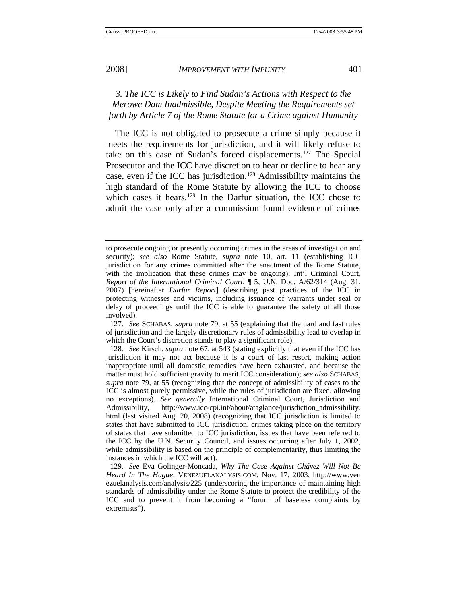<span id="page-25-0"></span>

*3. The ICC is Likely to Find Sudan's Actions with Respect to the Merowe Dam Inadmissible, Despite Meeting the Requirements set forth by Article 7 of the Rome Statute for a Crime against Humanity* 

The ICC is not obligated to prosecute a crime simply because it meets the requirements for jurisdiction, and it will likely refuse to take on this case of Sudan's forced displacements.[127](#page-25-1) The Special Prosecutor and the ICC have discretion to hear or decline to hear any case, even if the ICC has jurisdiction.<sup>[128](#page-25-2)</sup> Admissibility maintains the high standard of the Rome Statute by allowing the ICC to choose which cases it hears.<sup>[129](#page-25-3)</sup> In the Darfur situation, the ICC chose to admit the case only after a commission found evidence of crimes

to prosecute ongoing or presently occurring crimes in the areas of investigation and security); *see also* Rome Statute, *supra* note 10, art. 11 (establishing ICC jurisdiction for any crimes committed after the enactment of the Rome Statute, with the implication that these crimes may be ongoing); Int'l Criminal Court, *Report of the International Criminal Court*, ¶ 5, U.N. Doc. A/62/314 (Aug. 31, 2007) [hereinafter *Darfur Report*] (describing past practices of the ICC in protecting witnesses and victims, including issuance of warrants under seal or delay of proceedings until the ICC is able to guarantee the safety of all those involved).

<span id="page-25-1"></span><sup>127</sup>*. See* SCHABAS, *supra* note 79, at 55 (explaining that the hard and fast rules of jurisdiction and the largely discretionary rules of admissibility lead to overlap in which the Court's discretion stands to play a significant role).

<span id="page-25-2"></span><sup>128</sup>*. See* Kirsch, *supra* note 67, at 543 (stating explicitly that even if the ICC has jurisdiction it may not act because it is a court of last resort, making action inappropriate until all domestic remedies have been exhausted, and because the matter must hold sufficient gravity to merit ICC consideration); *see also* SCHABAS, *supra* note 79, at 55 (recognizing that the concept of admissibility of cases to the ICC is almost purely permissive, while the rules of jurisdiction are fixed, allowing no exceptions). *See generally* International Criminal Court, Jurisdiction and Admissibility, http://www.icc-cpi.int/about/ataglance/jurisdiction\_admissibility. html (last visited Aug. 20, 2008) (recognizing that ICC jurisdiction is limited to states that have submitted to ICC jurisdiction, crimes taking place on the territory of states that have submitted to ICC jurisdiction, issues that have been referred to the ICC by the U.N. Security Council, and issues occurring after July 1, 2002, while admissibility is based on the principle of complementarity, thus limiting the instances in which the ICC will act).

<span id="page-25-3"></span><sup>129</sup>*. See* Eva Golinger-Moncada, *Why The Case Against Chávez Will Not Be Heard In The Hague*, VENEZUELANALYSIS.COM, Nov. 17, 2003, http://www.ven ezuelanalysis.com/analysis/225 (underscoring the importance of maintaining high standards of admissibility under the Rome Statute to protect the credibility of the ICC and to prevent it from becoming a "forum of baseless complaints by extremists").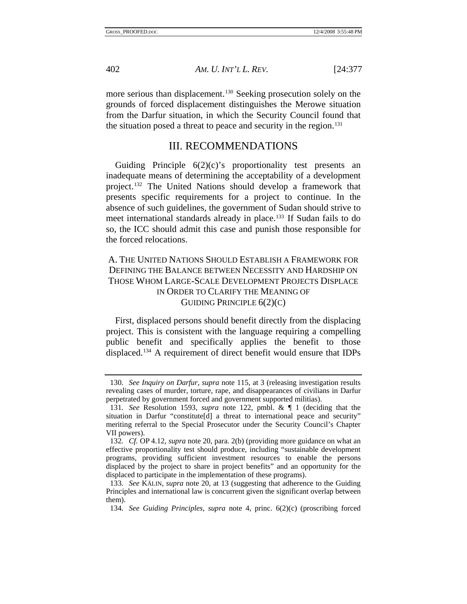<span id="page-26-0"></span>more serious than displacement.<sup>[130](#page-26-1)</sup> Seeking prosecution solely on the grounds of forced displacement distinguishes the Merowe situation from the Darfur situation, in which the Security Council found that the situation posed a threat to peace and security in the region.<sup>[131](#page-26-2)</sup>

## III. RECOMMENDATIONS

Guiding Principle  $6(2)(c)$ 's proportionality test presents an inadequate means of determining the acceptability of a development project.[132](#page-26-3) The United Nations should develop a framework that presents specific requirements for a project to continue. In the absence of such guidelines, the government of Sudan should strive to meet international standards already in place.<sup>[133](#page-26-4)</sup> If Sudan fails to do so, the ICC should admit this case and punish those responsible for the forced relocations.

# A. THE UNITED NATIONS SHOULD ESTABLISH A FRAMEWORK FOR DEFINING THE BALANCE BETWEEN NECESSITY AND HARDSHIP ON THOSE WHOM LARGE-SCALE DEVELOPMENT PROJECTS DISPLACE IN ORDER TO CLARIFY THE MEANING OF GUIDING PRINCIPLE 6(2)(C)

First, displaced persons should benefit directly from the displacing project. This is consistent with the language requiring a compelling public benefit and specifically applies the benefit to those displaced.[134](#page-26-5) A requirement of direct benefit would ensure that IDPs

<span id="page-26-1"></span><sup>130</sup>*. See Inquiry on Darfur*, *supra* note 115, at 3 (releasing investigation results revealing cases of murder, torture, rape, and disappearances of civilians in Darfur perpetrated by government forced and government supported militias).

<span id="page-26-2"></span><sup>131</sup>*. See* Resolution 1593, *supra* note 122, pmbl. & ¶ 1 (deciding that the situation in Darfur "constitute [d] a threat to international peace and security" meriting referral to the Special Prosecutor under the Security Council's Chapter VII powers).

<span id="page-26-3"></span><sup>132</sup>*. Cf.* OP 4.12, *supra* note 20, para. 2(b) (providing more guidance on what an effective proportionality test should produce, including "sustainable development programs, providing sufficient investment resources to enable the persons displaced by the project to share in project benefits" and an opportunity for the displaced to participate in the implementation of these programs).

<span id="page-26-5"></span><span id="page-26-4"></span><sup>133</sup>*. See* KÄLIN, *supra* note 20, at 13 (suggesting that adherence to the Guiding Principles and international law is concurrent given the significant overlap between them).

<sup>134</sup>*. See Guiding Principles*, *supra* note 4, princ. 6(2)(c) (proscribing forced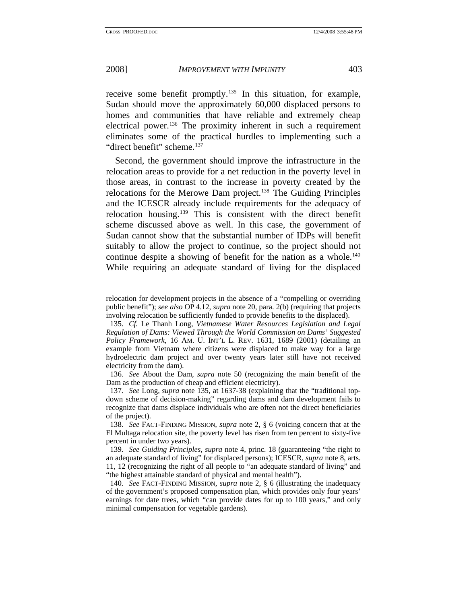receive some benefit promptly.<sup>[135](#page-27-0)</sup> In this situation, for example, Sudan should move the approximately 60,000 displaced persons to homes and communities that have reliable and extremely cheap electrical power.<sup>[136](#page-27-1)</sup> The proximity inherent in such a requirement eliminates some of the practical hurdles to implementing such a "direct benefit" scheme.<sup>[137](#page-27-2)</sup>

Second, the government should improve the infrastructure in the relocation areas to provide for a net reduction in the poverty level in those areas, in contrast to the increase in poverty created by the relocations for the Merowe Dam project.[138](#page-27-3) The Guiding Principles and the ICESCR already include requirements for the adequacy of relocation housing.[139](#page-27-4) This is consistent with the direct benefit scheme discussed above as well. In this case, the government of Sudan cannot show that the substantial number of IDPs will benefit suitably to allow the project to continue, so the project should not continue despite a showing of benefit for the nation as a whole.<sup>[140](#page-27-5)</sup> While requiring an adequate standard of living for the displaced

<span id="page-27-1"></span>136*. See* About the Dam, *supra* note 50 (recognizing the main benefit of the Dam as the production of cheap and efficient electricity).

<span id="page-27-2"></span>137*. See* Long, *supra* note 135, at 1637-38 (explaining that the "traditional topdown scheme of decision-making" regarding dams and dam development fails to recognize that dams displace individuals who are often not the direct beneficiaries of the project).

relocation for development projects in the absence of a "compelling or overriding public benefit"); *see also* OP 4.12, *supra* note 20, para. 2(b) (requiring that projects involving relocation be sufficiently funded to provide benefits to the displaced).

<span id="page-27-0"></span><sup>135</sup>*. Cf.* Le Thanh Long, *Vietnamese Water Resources Legislation and Legal Regulation of Dams: Viewed Through the World Commission on Dams' Suggested Policy Framework*, 16 AM. U. INT'L L. REV. 1631, 1689 (2001) (detailing an example from Vietnam where citizens were displaced to make way for a large hydroelectric dam project and over twenty years later still have not received electricity from the dam).

<span id="page-27-3"></span><sup>138</sup>*. See* FACT-FINDING MISSION, *supra* note 2, § 6 (voicing concern that at the El Multaga relocation site, the poverty level has risen from ten percent to sixty-five percent in under two years).

<span id="page-27-4"></span><sup>139</sup>*. See Guiding Principles*, *supra* note 4, princ. 18 (guaranteeing "the right to an adequate standard of living" for displaced persons); ICESCR, *supra* note 8, arts. 11, 12 (recognizing the right of all people to "an adequate standard of living" and "the highest attainable standard of physical and mental health").

<span id="page-27-5"></span><sup>140</sup>*. See* FACT-FINDING MISSION, *supra* note 2, § 6 (illustrating the inadequacy of the government's proposed compensation plan, which provides only four years' earnings for date trees, which "can provide dates for up to 100 years," and only minimal compensation for vegetable gardens).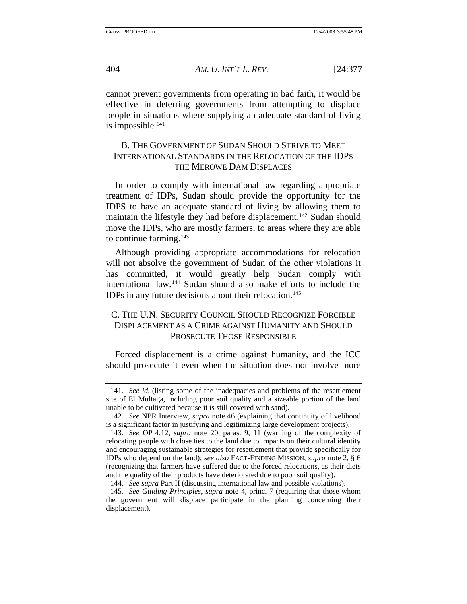<span id="page-28-0"></span>cannot prevent governments from operating in bad faith, it would be effective in deterring governments from attempting to displace people in situations where supplying an adequate standard of living is impossible. $141$ 

# B. THE GOVERNMENT OF SUDAN SHOULD STRIVE TO MEET INTERNATIONAL STANDARDS IN THE RELOCATION OF THE IDPS THE MEROWE DAM DISPLACES

In order to comply with international law regarding appropriate treatment of IDPs, Sudan should provide the opportunity for the IDPS to have an adequate standard of living by allowing them to maintain the lifestyle they had before displacement.<sup>142</sup> Sudan should move the IDPs, who are mostly farmers, to areas where they are able to continue farming. $143$ 

Although providing appropriate accommodations for relocation will not absolve the government of Sudan of the other violations it has committed, it would greatly help Sudan comply with international law.[144](#page-28-4) Sudan should also make efforts to include the IDPs in any future decisions about their relocation.<sup>[145](#page-28-5)</sup>

## C. THE U.N. SECURITY COUNCIL SHOULD RECOGNIZE FORCIBLE DISPLACEMENT AS A CRIME AGAINST HUMANITY AND SHOULD PROSECUTE THOSE RESPONSIBLE

Forced displacement is a crime against humanity, and the ICC should prosecute it even when the situation does not involve more

<span id="page-28-1"></span><sup>141</sup>*. See id.* (listing some of the inadequacies and problems of the resettlement site of El Multaga, including poor soil quality and a sizeable portion of the land unable to be cultivated because it is still covered with sand).

<span id="page-28-2"></span><sup>142</sup>*. See* NPR Interview, *supra* note 46 (explaining that continuity of livelihood is a significant factor in justifying and legitimizing large development projects).

<span id="page-28-3"></span><sup>143</sup>*. See* OP 4.12, *supra* note 20, paras. 9, 11 (warning of the complexity of relocating people with close ties to the land due to impacts on their cultural identity and encouraging sustainable strategies for resettlement that provide specifically for IDPs who depend on the land); *see also* FACT-FINDING MISSION, *supra* note 2, § 6 (recognizing that farmers have suffered due to the forced relocations, as their diets and the quality of their products have deteriorated due to poor soil quality).

<sup>144</sup>*. See supra* Part II (discussing international law and possible violations).

<span id="page-28-5"></span><span id="page-28-4"></span><sup>145</sup>*. See Guiding Principles*, *supra* note 4, princ. 7 (requiring that those whom the government will displace participate in the planning concerning their displacement).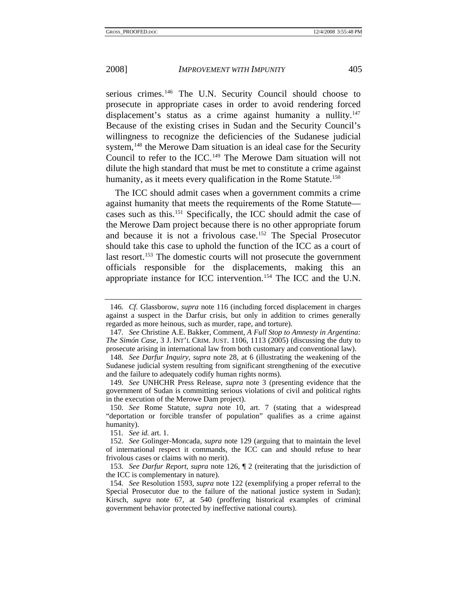serious crimes.<sup>[146](#page-29-0)</sup> The U.N. Security Council should choose to prosecute in appropriate cases in order to avoid rendering forced displacement's status as a crime against humanity a nullity.<sup>[147](#page-29-1)</sup> Because of the existing crises in Sudan and the Security Council's willingness to recognize the deficiencies of the Sudanese judicial system,<sup>[148](#page-29-2)</sup> the Merowe Dam situation is an ideal case for the Security Council to refer to the ICC.[149](#page-29-3) The Merowe Dam situation will not dilute the high standard that must be met to constitute a crime against humanity, as it meets every qualification in the Rome Statute.<sup>[150](#page-29-4)</sup>

The ICC should admit cases when a government commits a crime against humanity that meets the requirements of the Rome Statute cases such as this.[151](#page-29-5) Specifically, the ICC should admit the case of the Merowe Dam project because there is no other appropriate forum and because it is not a frivolous case.[152](#page-29-6) The Special Prosecutor should take this case to uphold the function of the ICC as a court of last resort.<sup>[153](#page-29-7)</sup> The domestic courts will not prosecute the government officials responsible for the displacements, making this an appropriate instance for ICC intervention.[154](#page-29-8) The ICC and the U.N.

<span id="page-29-3"></span>149*. See* UNHCHR Press Release, *supra* note 3 (presenting evidence that the government of Sudan is committing serious violations of civil and political rights in the execution of the Merowe Dam project).

<span id="page-29-4"></span>150*. See* Rome Statute, *supra* note 10, art. 7 (stating that a widespread "deportation or forcible transfer of population" qualifies as a crime against humanity).

151*. See id.* art. 1.

<span id="page-29-0"></span><sup>146</sup>*. Cf.* Glassborow, *supra* note 116 (including forced displacement in charges against a suspect in the Darfur crisis, but only in addition to crimes generally regarded as more heinous, such as murder, rape, and torture).

<span id="page-29-1"></span><sup>147</sup>*. See* Christine A.E. Bakker, Comment, *A Full Stop to Amnesty in Argentina: The Simón Case*, 3 J. INT'L CRIM. JUST. 1106, 1113 (2005) (discussing the duty to prosecute arising in international law from both customary and conventional law).

<span id="page-29-2"></span><sup>148</sup>*. See Darfur Inquiry*, *supra* note 28, at 6 (illustrating the weakening of the Sudanese judicial system resulting from significant strengthening of the executive and the failure to adequately codify human rights norms).

<span id="page-29-6"></span><span id="page-29-5"></span><sup>152</sup>*. See* Golinger-Moncada, *supra* note 129 (arguing that to maintain the level of international respect it commands, the ICC can and should refuse to hear frivolous cases or claims with no merit).

<span id="page-29-7"></span><sup>153</sup>*. See Darfur Report*, *supra* note 126, ¶ 2 (reiterating that the jurisdiction of the ICC is complementary in nature).

<span id="page-29-8"></span><sup>154</sup>*. See* Resolution 1593, *supra* note 122 (exemplifying a proper referral to the Special Prosecutor due to the failure of the national justice system in Sudan); Kirsch, *supra* note 67, at 540 (proffering historical examples of criminal government behavior protected by ineffective national courts).